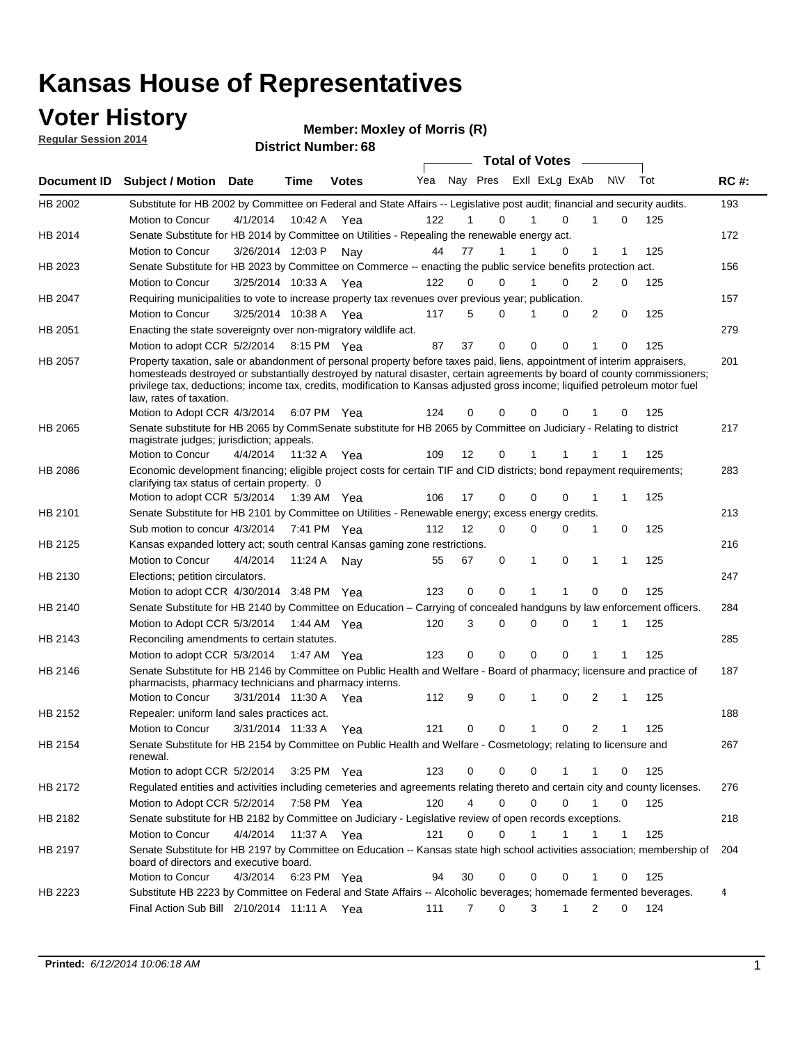### **Voter History**

**Regular Session 2014**

#### **Member: Moxley of Morris (R)**

|             |                                                                                                                                                                                                                                                                                                                                                                                                                  |                       |             | <b>DISTRICT MAILINGLY</b> |     |    |                  | <b>Total of Votes</b>      |                |              |     |             |
|-------------|------------------------------------------------------------------------------------------------------------------------------------------------------------------------------------------------------------------------------------------------------------------------------------------------------------------------------------------------------------------------------------------------------------------|-----------------------|-------------|---------------------------|-----|----|------------------|----------------------------|----------------|--------------|-----|-------------|
| Document ID | <b>Subject / Motion</b>                                                                                                                                                                                                                                                                                                                                                                                          | Date                  | Time        | <b>Votes</b>              | Yea |    |                  | Nay Pres Exll ExLg ExAb    | <b>NV</b>      |              | Tot | <b>RC#:</b> |
| HB 2002     | Substitute for HB 2002 by Committee on Federal and State Affairs -- Legislative post audit; financial and security audits.                                                                                                                                                                                                                                                                                       |                       |             |                           |     |    |                  |                            |                |              |     | 193         |
|             | Motion to Concur                                                                                                                                                                                                                                                                                                                                                                                                 | 4/1/2014              | 10:42 A     | Yea                       | 122 |    | 0                | $\Omega$                   |                | 0            | 125 |             |
| HB 2014     | Senate Substitute for HB 2014 by Committee on Utilities - Repealing the renewable energy act.                                                                                                                                                                                                                                                                                                                    |                       |             |                           |     |    |                  |                            |                |              |     | 172         |
|             | Motion to Concur                                                                                                                                                                                                                                                                                                                                                                                                 | 3/26/2014 12:03 P Nay |             |                           | 44  | 77 | 1                | 0                          | 1              | 1            | 125 |             |
| HB 2023     | Senate Substitute for HB 2023 by Committee on Commerce -- enacting the public service benefits protection act.                                                                                                                                                                                                                                                                                                   |                       |             |                           |     |    |                  |                            |                |              |     | 156         |
|             | Motion to Concur                                                                                                                                                                                                                                                                                                                                                                                                 | 3/25/2014 10:33 A Yea |             |                           | 122 |    | 0<br>0           | 0<br>1                     | 2              | 0            | 125 |             |
| HB 2047     | Requiring municipalities to vote to increase property tax revenues over previous year; publication.                                                                                                                                                                                                                                                                                                              |                       |             |                           |     |    |                  |                            |                |              |     | 157         |
|             | <b>Motion to Concur</b>                                                                                                                                                                                                                                                                                                                                                                                          | 3/25/2014 10:38 A Yea |             |                           | 117 |    | 5<br>0           | 0                          | 2              | 0            | 125 |             |
| HB 2051     | Enacting the state sovereignty over non-migratory wildlife act.                                                                                                                                                                                                                                                                                                                                                  |                       |             |                           |     |    |                  |                            |                |              |     | 279         |
|             | Motion to adopt CCR 5/2/2014                                                                                                                                                                                                                                                                                                                                                                                     |                       | 8:15 PM Yea |                           | 87  | 37 | $\mathbf 0$      | $\mathbf 0$<br>0           | 1              | 0            | 125 |             |
| HB 2057     | Property taxation, sale or abandonment of personal property before taxes paid, liens, appointment of interim appraisers,<br>homesteads destroyed or substantially destroyed by natural disaster, certain agreements by board of county commissioners;<br>privilege tax, deductions; income tax, credits, modification to Kansas adjusted gross income; liquified petroleum motor fuel<br>law, rates of taxation. |                       |             |                           |     |    |                  |                            |                |              |     | 201         |
|             | Motion to Adopt CCR 4/3/2014                                                                                                                                                                                                                                                                                                                                                                                     |                       |             | 6:07 PM Yea               | 124 | 0  | 0                | $\mathbf 0$<br>0           |                | 0            | 125 |             |
| HB 2065     | Senate substitute for HB 2065 by CommSenate substitute for HB 2065 by Committee on Judiciary - Relating to district<br>magistrate judges; jurisdiction; appeals.                                                                                                                                                                                                                                                 |                       |             |                           |     |    |                  |                            |                |              |     | 217         |
|             | <b>Motion to Concur</b>                                                                                                                                                                                                                                                                                                                                                                                          | 4/4/2014              | 11:32 A     | Yea                       | 109 | 12 | 0                | 1                          |                |              | 125 |             |
| HB 2086     | Economic development financing; eligible project costs for certain TIF and CID districts; bond repayment requirements;<br>clarifying tax status of certain property. 0                                                                                                                                                                                                                                           |                       |             |                           |     |    |                  |                            |                |              |     | 283         |
|             | Motion to adopt CCR 5/3/2014                                                                                                                                                                                                                                                                                                                                                                                     |                       | 1:39 AM Yea |                           | 106 | 17 | 0                | $\mathbf 0$<br>$\Omega$    | 1              | 1            | 125 |             |
| HB 2101     | Senate Substitute for HB 2101 by Committee on Utilities - Renewable energy; excess energy credits.                                                                                                                                                                                                                                                                                                               |                       |             |                           |     |    |                  |                            |                |              |     | 213         |
|             | Sub motion to concur 4/3/2014                                                                                                                                                                                                                                                                                                                                                                                    |                       |             | 7:41 PM Yea               | 112 | 12 | 0                | $\mathbf 0$<br>$\mathbf 0$ | 1              | 0            | 125 |             |
| HB 2125     | Kansas expanded lottery act; south central Kansas gaming zone restrictions.                                                                                                                                                                                                                                                                                                                                      |                       |             |                           |     |    |                  |                            |                |              |     | 216         |
|             | Motion to Concur                                                                                                                                                                                                                                                                                                                                                                                                 | 4/4/2014              | 11:24 A     | Nav                       | 55  | 67 | 0                | 1<br>0                     | 1              | 1            | 125 |             |
| HB 2130     | Elections; petition circulators.                                                                                                                                                                                                                                                                                                                                                                                 |                       |             |                           |     |    |                  |                            |                |              |     | 247         |
|             | Motion to adopt CCR 4/30/2014 3:48 PM Yea                                                                                                                                                                                                                                                                                                                                                                        |                       |             |                           | 123 | 0  | 0                |                            | $\Omega$       | 0            | 125 |             |
| HB 2140     | Senate Substitute for HB 2140 by Committee on Education – Carrying of concealed handguns by law enforcement officers.                                                                                                                                                                                                                                                                                            |                       |             |                           |     |    |                  |                            |                |              |     | 284         |
|             | Motion to Adopt CCR 5/3/2014                                                                                                                                                                                                                                                                                                                                                                                     |                       |             | 1:44 AM Yea               | 120 |    | 3<br>0           | $\mathbf 0$<br>$\mathbf 0$ | 1              | 1            | 125 |             |
| HB 2143     | Reconciling amendments to certain statutes.                                                                                                                                                                                                                                                                                                                                                                      |                       |             |                           |     |    |                  |                            |                |              |     | 285         |
|             | Motion to adopt CCR 5/3/2014                                                                                                                                                                                                                                                                                                                                                                                     |                       | 1:47 AM Yea |                           | 123 |    | 0<br>0           | $\mathbf 0$<br>$\mathbf 0$ | 1              | 1            | 125 |             |
| HB 2146     | Senate Substitute for HB 2146 by Committee on Public Health and Welfare - Board of pharmacy; licensure and practice of<br>pharmacists, pharmacy technicians and pharmacy interns.                                                                                                                                                                                                                                |                       |             |                           |     |    |                  |                            |                |              |     | 187         |
|             | Motion to Concur                                                                                                                                                                                                                                                                                                                                                                                                 | 3/31/2014 11:30 A     |             | Yea                       | 112 |    | 9<br>0           | $\mathbf 0$<br>1           | 2              | 1            | 125 |             |
| HB 2152     | Repealer: uniform land sales practices act.                                                                                                                                                                                                                                                                                                                                                                      |                       |             |                           |     |    |                  |                            |                |              |     | 188         |
|             | Motion to Concur                                                                                                                                                                                                                                                                                                                                                                                                 | 3/31/2014 11:33 A     |             | Yea                       | 121 | 0  | 0                | 1<br>0                     | $\overline{2}$ | 1            | 125 |             |
| HB 2154     | Senate Substitute for HB 2154 by Committee on Public Health and Welfare - Cosmetology; relating to licensure and<br>renewal.                                                                                                                                                                                                                                                                                     |                       |             |                           |     |    |                  |                            |                |              |     | 267         |
|             | Motion to adopt CCR 5/2/2014                                                                                                                                                                                                                                                                                                                                                                                     |                       |             | 3:25 PM Yea               | 123 |    | 0<br>0           | 0<br>1                     | 1              | 0            | 125 |             |
| HB 2172     | Regulated entities and activities including cemeteries and agreements relating thereto and certain city and county licenses.                                                                                                                                                                                                                                                                                     |                       |             |                           |     |    |                  |                            |                |              |     | 276         |
|             | Motion to Adopt CCR 5/2/2014                                                                                                                                                                                                                                                                                                                                                                                     |                       |             | 7:58 PM Yea               | 120 |    | 4<br>$\mathbf 0$ | $\mathbf 0$<br>$\Omega$    | $\mathbf{1}$   | $\mathbf 0$  | 125 |             |
| HB 2182     | Senate substitute for HB 2182 by Committee on Judiciary - Legislative review of open records exceptions.                                                                                                                                                                                                                                                                                                         |                       |             |                           |     |    |                  |                            |                |              |     | 218         |
|             | Motion to Concur                                                                                                                                                                                                                                                                                                                                                                                                 | 4/4/2014              | 11:37 A Yea |                           | 121 | 0  | $\mathbf 0$      | $\mathbf{1}$<br>1          | 1              | $\mathbf{1}$ | 125 |             |
| HB 2197     | Senate Substitute for HB 2197 by Committee on Education -- Kansas state high school activities association; membership of<br>board of directors and executive board.                                                                                                                                                                                                                                             |                       |             |                           |     |    |                  |                            |                |              |     | 204         |
|             | Motion to Concur                                                                                                                                                                                                                                                                                                                                                                                                 | 4/3/2014              |             | 6:23 PM Yea               | 94  | 30 | 0                | 0<br>0                     | 1              | 0            | 125 |             |
| HB 2223     | Substitute HB 2223 by Committee on Federal and State Affairs -- Alcoholic beverages; homemade fermented beverages.                                                                                                                                                                                                                                                                                               |                       |             |                           |     |    |                  |                            |                |              |     | 4           |
|             | Final Action Sub Bill 2/10/2014 11:11 A Yea                                                                                                                                                                                                                                                                                                                                                                      |                       |             |                           | 111 |    | 0<br>7           | 3<br>1                     | 2              | 0            | 124 |             |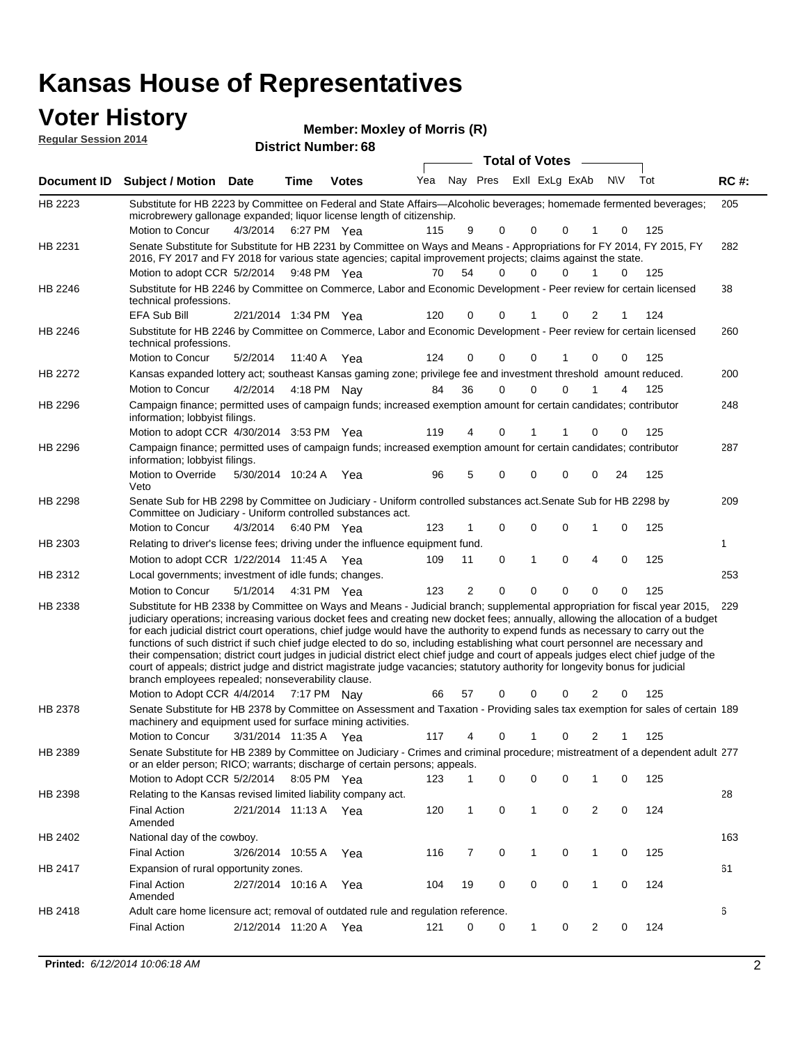#### **Voter History Regular Ses**

| r History  | <b>Member: Moxley of Morris (R)</b> |
|------------|-------------------------------------|
| ssion 2014 | <b>District Number: 68</b>          |

|                    |                                                                                                                                                                                                                                                                                                                                                                                                                                                                                                                                                                                                                                                                                                                                                                                                                                                                                                     |                       |             |              |     |                |                     | <b>Total of Votes</b>   |          |                |           |     |             |
|--------------------|-----------------------------------------------------------------------------------------------------------------------------------------------------------------------------------------------------------------------------------------------------------------------------------------------------------------------------------------------------------------------------------------------------------------------------------------------------------------------------------------------------------------------------------------------------------------------------------------------------------------------------------------------------------------------------------------------------------------------------------------------------------------------------------------------------------------------------------------------------------------------------------------------------|-----------------------|-------------|--------------|-----|----------------|---------------------|-------------------------|----------|----------------|-----------|-----|-------------|
| <b>Document ID</b> | Subject / Motion Date                                                                                                                                                                                                                                                                                                                                                                                                                                                                                                                                                                                                                                                                                                                                                                                                                                                                               |                       | Time        | <b>Votes</b> | Yea |                |                     | Nay Pres ExII ExLg ExAb |          |                | <b>NV</b> | Tot | <b>RC#:</b> |
| HB 2223            | Substitute for HB 2223 by Committee on Federal and State Affairs—Alcoholic beverages; homemade fermented beverages;<br>microbrewery gallonage expanded; liquor license length of citizenship.                                                                                                                                                                                                                                                                                                                                                                                                                                                                                                                                                                                                                                                                                                       |                       |             |              |     |                |                     |                         |          |                |           |     | 205         |
|                    | Motion to Concur                                                                                                                                                                                                                                                                                                                                                                                                                                                                                                                                                                                                                                                                                                                                                                                                                                                                                    | 4/3/2014 6:27 PM Yea  |             |              | 115 | 9              | 0                   | 0                       | 0        |                | 0         | 125 |             |
| HB 2231            | Senate Substitute for Substitute for HB 2231 by Committee on Ways and Means - Appropriations for FY 2014, FY 2015, FY<br>2016, FY 2017 and FY 2018 for various state agencies; capital improvement projects; claims against the state.                                                                                                                                                                                                                                                                                                                                                                                                                                                                                                                                                                                                                                                              |                       |             |              |     |                |                     |                         |          |                |           |     | 282         |
|                    | Motion to adopt CCR 5/2/2014 9:48 PM Yea                                                                                                                                                                                                                                                                                                                                                                                                                                                                                                                                                                                                                                                                                                                                                                                                                                                            |                       |             |              | 70  | 54             | 0                   | $\Omega$                | $\Omega$ | 1              | $\Omega$  | 125 |             |
| HB 2246            | Substitute for HB 2246 by Committee on Commerce, Labor and Economic Development - Peer review for certain licensed<br>technical professions.                                                                                                                                                                                                                                                                                                                                                                                                                                                                                                                                                                                                                                                                                                                                                        |                       |             |              |     |                |                     |                         |          |                |           |     | 38          |
|                    | EFA Sub Bill                                                                                                                                                                                                                                                                                                                                                                                                                                                                                                                                                                                                                                                                                                                                                                                                                                                                                        | 2/21/2014 1:34 PM Yea |             |              | 120 | 0              | 0                   |                         | 0        | 2              |           | 124 |             |
| HB 2246            | Substitute for HB 2246 by Committee on Commerce, Labor and Economic Development - Peer review for certain licensed<br>technical professions.                                                                                                                                                                                                                                                                                                                                                                                                                                                                                                                                                                                                                                                                                                                                                        |                       |             |              |     |                |                     |                         |          |                |           |     | 260         |
|                    | <b>Motion to Concur</b>                                                                                                                                                                                                                                                                                                                                                                                                                                                                                                                                                                                                                                                                                                                                                                                                                                                                             | 5/2/2014              |             | 11:40 A Yea  | 124 | 0              | 0                   | 0                       |          | 0              | 0         | 125 |             |
| HB 2272            | Kansas expanded lottery act; southeast Kansas gaming zone; privilege fee and investment threshold amount reduced.                                                                                                                                                                                                                                                                                                                                                                                                                                                                                                                                                                                                                                                                                                                                                                                   |                       |             |              |     |                |                     |                         |          |                |           |     | 200         |
|                    | Motion to Concur                                                                                                                                                                                                                                                                                                                                                                                                                                                                                                                                                                                                                                                                                                                                                                                                                                                                                    | 4/2/2014              |             | 4:18 PM Nay  | 84  | 36             | $\mathbf 0$         | 0                       | $\Omega$ | 1              | 4         | 125 |             |
| HB 2296            | Campaign finance; permitted uses of campaign funds; increased exemption amount for certain candidates; contributor<br>information; lobbyist filings.                                                                                                                                                                                                                                                                                                                                                                                                                                                                                                                                                                                                                                                                                                                                                |                       |             |              |     |                |                     |                         |          |                |           |     | 248         |
|                    | Motion to adopt CCR 4/30/2014 3:53 PM Yea                                                                                                                                                                                                                                                                                                                                                                                                                                                                                                                                                                                                                                                                                                                                                                                                                                                           |                       |             |              | 119 | 4              | 0                   | 1                       |          | 0              | 0         | 125 |             |
| HB 2296            | Campaign finance; permitted uses of campaign funds; increased exemption amount for certain candidates; contributor<br>information; lobbyist filings.                                                                                                                                                                                                                                                                                                                                                                                                                                                                                                                                                                                                                                                                                                                                                |                       |             |              |     |                |                     |                         |          |                |           |     | 287         |
|                    | Motion to Override<br>Veto                                                                                                                                                                                                                                                                                                                                                                                                                                                                                                                                                                                                                                                                                                                                                                                                                                                                          | 5/30/2014 10:24 A     |             | Yea          | 96  | 5              | 0                   | 0                       | 0        | 0              | 24        | 125 |             |
| <b>HB 2298</b>     | Senate Sub for HB 2298 by Committee on Judiciary - Uniform controlled substances act. Senate Sub for HB 2298 by<br>Committee on Judiciary - Uniform controlled substances act.                                                                                                                                                                                                                                                                                                                                                                                                                                                                                                                                                                                                                                                                                                                      |                       |             |              |     |                |                     |                         |          |                |           |     | 209         |
|                    | Motion to Concur                                                                                                                                                                                                                                                                                                                                                                                                                                                                                                                                                                                                                                                                                                                                                                                                                                                                                    | 4/3/2014              |             | 6:40 PM Yea  | 123 |                | 0                   | $\mathbf 0$             | 0        | 1              | 0         | 125 |             |
| HB 2303            | Relating to driver's license fees; driving under the influence equipment fund.                                                                                                                                                                                                                                                                                                                                                                                                                                                                                                                                                                                                                                                                                                                                                                                                                      |                       |             |              |     |                |                     |                         |          |                |           |     | 1           |
|                    | Motion to adopt CCR 1/22/2014 11:45 A Yea                                                                                                                                                                                                                                                                                                                                                                                                                                                                                                                                                                                                                                                                                                                                                                                                                                                           |                       |             |              | 109 | 11             | 0                   | 1                       | 0        | 4              | 0         | 125 |             |
| HB 2312            | Local governments; investment of idle funds; changes.                                                                                                                                                                                                                                                                                                                                                                                                                                                                                                                                                                                                                                                                                                                                                                                                                                               |                       |             |              |     |                |                     |                         |          |                |           |     | 253         |
|                    | Motion to Concur                                                                                                                                                                                                                                                                                                                                                                                                                                                                                                                                                                                                                                                                                                                                                                                                                                                                                    | 5/1/2014              |             | 4:31 PM Yea  | 123 | $\overline{2}$ | $\mathbf 0$         | $\mathbf 0$             | $\Omega$ | $\Omega$       | $\Omega$  | 125 |             |
| HB 2338            | Substitute for HB 2338 by Committee on Ways and Means - Judicial branch; supplemental appropriation for fiscal year 2015,<br>judiciary operations; increasing various docket fees and creating new docket fees; annually, allowing the allocation of a budget<br>for each judicial district court operations, chief judge would have the authority to expend funds as necessary to carry out the<br>functions of such district if such chief judge elected to do so, including establishing what court personnel are necessary and<br>their compensation; district court judges in judicial district elect chief judge and court of appeals judges elect chief judge of the<br>court of appeals; district judge and district magistrate judge vacancies; statutory authority for longevity bonus for judicial<br>branch employees repealed; nonseverability clause.<br>Motion to Adopt CCR 4/4/2014 |                       | 7:17 PM Nay |              | 66  | 57             | 0                   | 0                       | 0        | 2              | 0         | 125 | 229         |
| HB 2378            | Senate Substitute for HB 2378 by Committee on Assessment and Taxation - Providing sales tax exemption for sales of certain 189                                                                                                                                                                                                                                                                                                                                                                                                                                                                                                                                                                                                                                                                                                                                                                      |                       |             |              |     |                |                     |                         |          |                |           |     |             |
|                    | machinery and equipment used for surface mining activities.<br>Motion to Concur                                                                                                                                                                                                                                                                                                                                                                                                                                                                                                                                                                                                                                                                                                                                                                                                                     | 3/31/2014 11:35 A Yea |             |              | 117 | 4              | 0                   | 1                       | 0        | 2              | 1         | 125 |             |
| HB 2389            | Senate Substitute for HB 2389 by Committee on Judiciary - Crimes and criminal procedure; mistreatment of a dependent adult 277                                                                                                                                                                                                                                                                                                                                                                                                                                                                                                                                                                                                                                                                                                                                                                      |                       |             |              |     |                |                     |                         |          |                |           |     |             |
|                    | or an elder person; RICO; warrants; discharge of certain persons; appeals.                                                                                                                                                                                                                                                                                                                                                                                                                                                                                                                                                                                                                                                                                                                                                                                                                          |                       |             |              |     |                |                     |                         |          |                |           |     |             |
|                    | Motion to Adopt CCR 5/2/2014 8:05 PM Yea                                                                                                                                                                                                                                                                                                                                                                                                                                                                                                                                                                                                                                                                                                                                                                                                                                                            |                       |             |              | 123 | 1              | 0                   | 0                       | 0        | 1              | 0         | 125 |             |
| HB 2398            | Relating to the Kansas revised limited liability company act.                                                                                                                                                                                                                                                                                                                                                                                                                                                                                                                                                                                                                                                                                                                                                                                                                                       |                       |             |              |     |                |                     |                         |          |                |           |     | 28          |
|                    | <b>Final Action</b><br>Amended                                                                                                                                                                                                                                                                                                                                                                                                                                                                                                                                                                                                                                                                                                                                                                                                                                                                      | 2/21/2014 11:13 A Yea |             |              | 120 | $\mathbf{1}$   | $\mathsf{O}\xspace$ | 1                       | 0        | $\overline{2}$ | 0         | 124 |             |
| HB 2402            | National day of the cowboy.                                                                                                                                                                                                                                                                                                                                                                                                                                                                                                                                                                                                                                                                                                                                                                                                                                                                         |                       |             |              |     |                |                     |                         |          |                |           |     | 163         |
|                    | <b>Final Action</b>                                                                                                                                                                                                                                                                                                                                                                                                                                                                                                                                                                                                                                                                                                                                                                                                                                                                                 | 3/26/2014 10:55 A     |             | Yea          | 116 | 7              | 0                   | 1                       | 0        | 1              | 0         | 125 |             |
| HB 2417            | Expansion of rural opportunity zones.                                                                                                                                                                                                                                                                                                                                                                                                                                                                                                                                                                                                                                                                                                                                                                                                                                                               |                       |             |              |     |                |                     |                         |          |                |           |     | 61          |
|                    | <b>Final Action</b><br>Amended                                                                                                                                                                                                                                                                                                                                                                                                                                                                                                                                                                                                                                                                                                                                                                                                                                                                      | 2/27/2014 10:16 A Yea |             |              | 104 | 19             | 0                   | 0                       | 0        | 1              | 0         | 124 |             |
| HB 2418            | Adult care home licensure act; removal of outdated rule and regulation reference.                                                                                                                                                                                                                                                                                                                                                                                                                                                                                                                                                                                                                                                                                                                                                                                                                   |                       |             |              |     |                |                     |                         |          |                |           |     | 6           |
|                    | <b>Final Action</b>                                                                                                                                                                                                                                                                                                                                                                                                                                                                                                                                                                                                                                                                                                                                                                                                                                                                                 | 2/12/2014 11:20 A     |             | Yea          | 121 | 0              | 0                   | 1                       | 0        | $\overline{2}$ | 0         | 124 |             |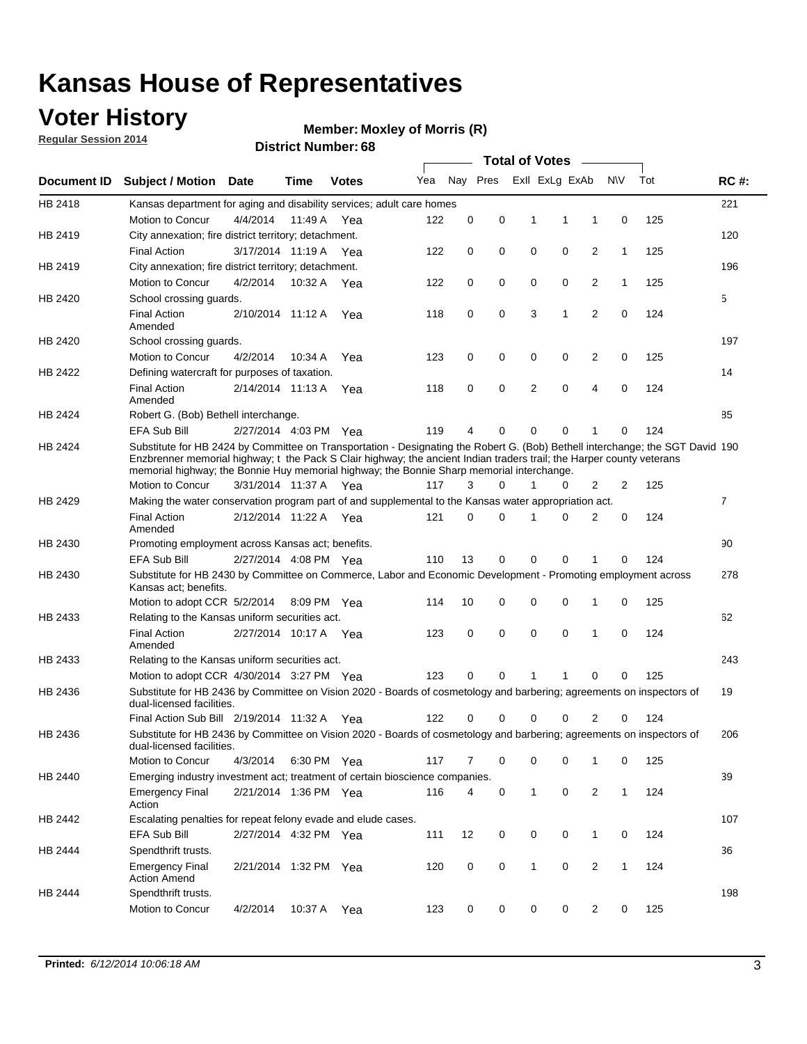### **Voter History**

**Regular Session 2014**

#### **Member: Moxley of Morris (R)**

|                    |                                                                                                                                                                                                                                                                                                                                                      |                       |             | DISTRICT MAILINGL. 00 |     |          |          |              | Total of Votes –        |                |              |     |                |
|--------------------|------------------------------------------------------------------------------------------------------------------------------------------------------------------------------------------------------------------------------------------------------------------------------------------------------------------------------------------------------|-----------------------|-------------|-----------------------|-----|----------|----------|--------------|-------------------------|----------------|--------------|-----|----------------|
| <b>Document ID</b> | <b>Subject / Motion</b>                                                                                                                                                                                                                                                                                                                              | Date                  | Time        | <b>Votes</b>          | Yea |          |          |              | Nay Pres ExII ExLg ExAb |                | <b>NV</b>    | Tot | <b>RC#:</b>    |
| HB 2418            | Kansas department for aging and disability services; adult care homes                                                                                                                                                                                                                                                                                |                       |             |                       |     |          |          |              |                         |                |              |     | 221            |
|                    | Motion to Concur                                                                                                                                                                                                                                                                                                                                     | 4/4/2014              | 11:49 A     | Yea                   | 122 | 0        | 0        | 1            | 1                       | 1              | 0            | 125 |                |
| HB 2419            | City annexation; fire district territory; detachment.                                                                                                                                                                                                                                                                                                |                       |             |                       |     |          |          |              |                         |                |              |     | 120            |
|                    | <b>Final Action</b>                                                                                                                                                                                                                                                                                                                                  | 3/17/2014 11:19 A     |             | Yea                   | 122 | 0        | 0        | 0            | 0                       | 2              | 1            | 125 |                |
| HB 2419            | City annexation; fire district territory; detachment.                                                                                                                                                                                                                                                                                                |                       |             |                       |     |          |          |              |                         |                |              |     | 196            |
|                    | Motion to Concur                                                                                                                                                                                                                                                                                                                                     | 4/2/2014              | 10:32 A     | Yea                   | 122 | 0        | 0        | 0            | 0                       | 2              | $\mathbf{1}$ | 125 |                |
| HB 2420            | School crossing guards.                                                                                                                                                                                                                                                                                                                              |                       |             |                       |     |          |          |              |                         |                |              |     | 5              |
|                    | <b>Final Action</b><br>Amended                                                                                                                                                                                                                                                                                                                       | 2/10/2014 11:12 A     |             | Yea                   | 118 | 0        | 0        | 3            | 1                       | $\overline{2}$ | 0            | 124 |                |
| HB 2420            | School crossing guards.                                                                                                                                                                                                                                                                                                                              |                       |             |                       |     |          |          |              |                         |                |              |     | 197            |
|                    | Motion to Concur                                                                                                                                                                                                                                                                                                                                     | 4/2/2014              | 10:34 A     | Yea                   | 123 | 0        | 0        | 0            | 0                       | 2              | 0            | 125 |                |
| HB 2422            | Defining watercraft for purposes of taxation.                                                                                                                                                                                                                                                                                                        |                       |             |                       |     |          |          |              |                         |                |              |     | 14             |
|                    | <b>Final Action</b><br>Amended                                                                                                                                                                                                                                                                                                                       | 2/14/2014 11:13 A     |             | Yea                   | 118 | 0        | 0        | 2            | 0                       | 4              | 0            | 124 |                |
| HB 2424            | Robert G. (Bob) Bethell interchange.                                                                                                                                                                                                                                                                                                                 |                       |             |                       |     |          |          |              |                         |                |              |     | 85             |
|                    | EFA Sub Bill                                                                                                                                                                                                                                                                                                                                         | 2/27/2014 4:03 PM Yea |             |                       | 119 | 4        | 0        | 0            | 0                       | 1              | 0            | 124 |                |
| HB 2424            | Substitute for HB 2424 by Committee on Transportation - Designating the Robert G. (Bob) Bethell interchange; the SGT David 190<br>Enzbrenner memorial highway; t the Pack S Clair highway; the ancient Indian traders trail; the Harper county veterans<br>memorial highway; the Bonnie Huy memorial highway; the Bonnie Sharp memorial interchange. |                       |             |                       |     |          |          |              |                         |                |              |     |                |
|                    | Motion to Concur                                                                                                                                                                                                                                                                                                                                     | 3/31/2014 11:37 A Yea |             |                       | 117 | 3        | $\Omega$ | 1            | 0                       | 2              | 2            | 125 |                |
| HB 2429            | Making the water conservation program part of and supplemental to the Kansas water appropriation act.                                                                                                                                                                                                                                                |                       |             |                       |     |          |          |              |                         |                |              |     | $\overline{7}$ |
|                    | <b>Final Action</b><br>Amended                                                                                                                                                                                                                                                                                                                       | 2/12/2014 11:22 A Yea |             |                       | 121 | $\Omega$ | 0        | 1            | 0                       | 2              | 0            | 124 |                |
| HB 2430            | Promoting employment across Kansas act; benefits.                                                                                                                                                                                                                                                                                                    |                       |             |                       |     |          |          |              |                         |                |              |     | 90             |
|                    | <b>EFA Sub Bill</b>                                                                                                                                                                                                                                                                                                                                  | 2/27/2014 4:08 PM Yea |             |                       | 110 | 13       | 0        | 0            | 0                       |                | 0            | 124 |                |
| HB 2430            | Substitute for HB 2430 by Committee on Commerce, Labor and Economic Development - Promoting employment across<br>Kansas act; benefits.                                                                                                                                                                                                               |                       |             |                       |     |          |          |              |                         |                |              |     | 278            |
|                    | Motion to adopt CCR 5/2/2014                                                                                                                                                                                                                                                                                                                         |                       | 8:09 PM Yea |                       | 114 | 10       | 0        | 0            | 0                       | 1              | 0            | 125 |                |
| HB 2433            | Relating to the Kansas uniform securities act.                                                                                                                                                                                                                                                                                                       |                       |             |                       |     |          |          |              |                         |                |              |     | 62             |
|                    | <b>Final Action</b><br>Amended                                                                                                                                                                                                                                                                                                                       | 2/27/2014 10:17 A Yea |             |                       | 123 | 0        | 0        | $\mathbf 0$  | 0                       | 1              | $\mathbf 0$  | 124 |                |
| HB 2433            | Relating to the Kansas uniform securities act.                                                                                                                                                                                                                                                                                                       |                       |             |                       |     |          |          |              |                         |                |              |     | 243            |
|                    | Motion to adopt CCR 4/30/2014 3:27 PM Yea                                                                                                                                                                                                                                                                                                            |                       |             |                       | 123 | $\Omega$ | $\Omega$ | 1            | 1                       | 0              | 0            | 125 |                |
| HB 2436            | Substitute for HB 2436 by Committee on Vision 2020 - Boards of cosmetology and barbering; agreements on inspectors of<br>dual-licensed facilities.                                                                                                                                                                                                   |                       |             |                       |     |          |          |              |                         |                |              |     | 19             |
|                    | Final Action Sub Bill 2/19/2014 11:32 A                                                                                                                                                                                                                                                                                                              |                       |             | Yea                   | 122 |          | 0        | 0            | 0                       | 2              | 0            | 124 |                |
| HB 2436            | Substitute for HB 2436 by Committee on Vision 2020 - Boards of cosmetology and barbering; agreements on inspectors of<br>dual-licensed facilities.                                                                                                                                                                                                   |                       |             |                       |     |          |          |              |                         |                |              |     | 206            |
|                    | Motion to Concur                                                                                                                                                                                                                                                                                                                                     | 4/3/2014              | 6:30 PM Yea |                       | 117 | 7        | 0        | 0            | 0                       | 1              | 0            | 125 |                |
| HB 2440            | Emerging industry investment act; treatment of certain bioscience companies.                                                                                                                                                                                                                                                                         |                       |             |                       |     |          |          |              |                         |                |              |     | 39             |
|                    | <b>Emergency Final</b><br>Action                                                                                                                                                                                                                                                                                                                     | 2/21/2014 1:36 PM Yea |             |                       | 116 | 4        | 0        | 1            | $\mathsf 0$             | $\overline{2}$ | $\mathbf{1}$ | 124 |                |
| HB 2442            | Escalating penalties for repeat felony evade and elude cases.                                                                                                                                                                                                                                                                                        |                       |             |                       |     |          |          |              |                         |                |              |     | 107            |
|                    | EFA Sub Bill                                                                                                                                                                                                                                                                                                                                         | 2/27/2014 4:32 PM Yea |             |                       | 111 | 12       | 0        | 0            | 0                       | $\mathbf{1}$   | 0            | 124 |                |
| HB 2444            | Spendthrift trusts.                                                                                                                                                                                                                                                                                                                                  |                       |             |                       |     |          |          |              |                         |                |              |     | 36             |
|                    | <b>Emergency Final</b><br><b>Action Amend</b>                                                                                                                                                                                                                                                                                                        | 2/21/2014 1:32 PM Yea |             |                       | 120 | 0        | 0        | $\mathbf{1}$ | 0                       | $\overline{c}$ | $\mathbf{1}$ | 124 |                |
| HB 2444            | Spendthrift trusts.                                                                                                                                                                                                                                                                                                                                  |                       |             |                       |     |          |          |              |                         |                |              |     | 198            |
|                    | Motion to Concur                                                                                                                                                                                                                                                                                                                                     | 4/2/2014              | 10:37 A Yea |                       | 123 | 0        | 0        | 0            | 0                       | $\overline{2}$ | 0            | 125 |                |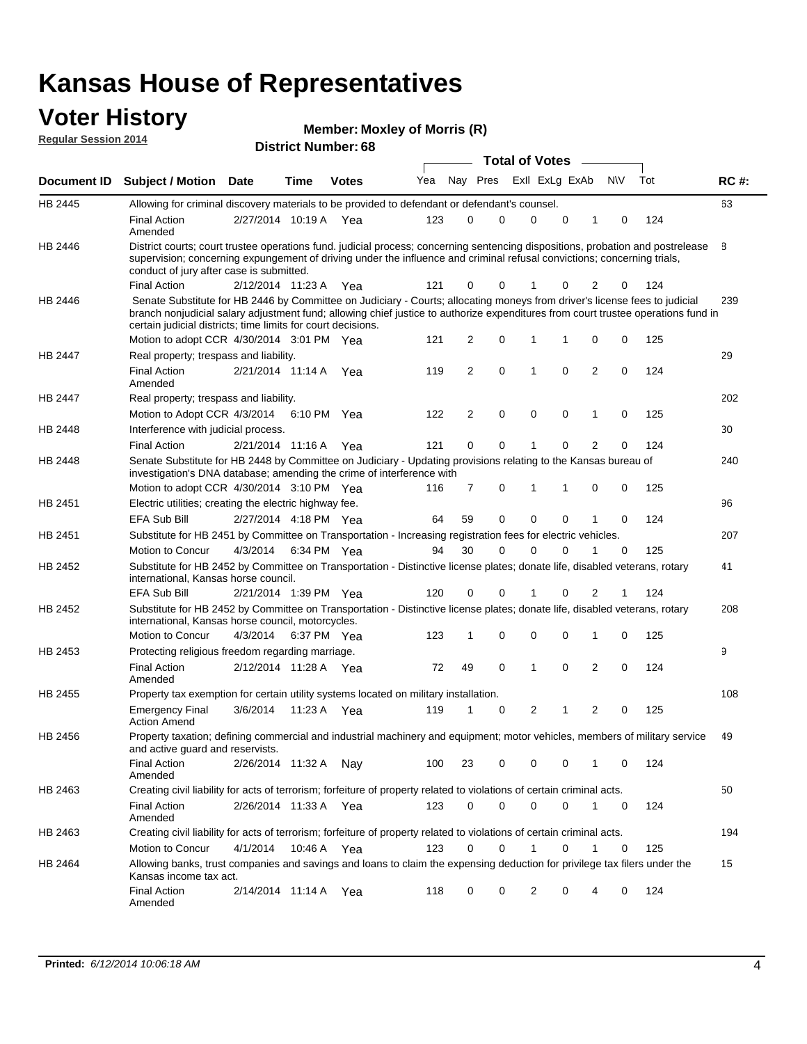#### **Voter History Regular Session 2014**

| <b>Member: Moxley of Morris (R)</b> |  |  |
|-------------------------------------|--|--|
|-------------------------------------|--|--|

|                |                                                                                                                                                                                                                                                                                                                                 |                       | IVL ITUIIINVI . |              |     |    |                         | <b>Total of Votes</b> |                |             |   |          |     |             |
|----------------|---------------------------------------------------------------------------------------------------------------------------------------------------------------------------------------------------------------------------------------------------------------------------------------------------------------------------------|-----------------------|-----------------|--------------|-----|----|-------------------------|-----------------------|----------------|-------------|---|----------|-----|-------------|
| Document ID    | <b>Subject / Motion Date</b>                                                                                                                                                                                                                                                                                                    |                       | <b>Time</b>     | <b>Votes</b> | Yea |    | Nay Pres Exll ExLg ExAb |                       |                |             |   | N\V      | Tot | <b>RC#:</b> |
| HB 2445        | Allowing for criminal discovery materials to be provided to defendant or defendant's counsel.                                                                                                                                                                                                                                   |                       |                 |              |     |    |                         |                       |                |             |   |          |     | 63          |
|                | <b>Final Action</b><br>Amended                                                                                                                                                                                                                                                                                                  | 2/27/2014 10:19 A Yea |                 |              | 123 |    | 0                       | $\mathbf 0$           | $\mathbf 0$    | $\mathbf 0$ | 1 | 0        | 124 |             |
| HB 2446        | District courts; court trustee operations fund. judicial process; concerning sentencing dispositions, probation and postrelease<br>supervision; concerning expungement of driving under the influence and criminal refusal convictions; concerning trials,<br>conduct of jury after case is submitted.                          |                       |                 |              |     |    |                         |                       |                |             |   |          |     | 8           |
|                | <b>Final Action</b>                                                                                                                                                                                                                                                                                                             | 2/12/2014 11:23 A Yea |                 |              | 121 |    | 0                       | 0                     |                | 0           | 2 | 0        | 124 |             |
| HB 2446        | Senate Substitute for HB 2446 by Committee on Judiciary - Courts; allocating moneys from driver's license fees to judicial<br>branch nonjudicial salary adjustment fund; allowing chief justice to authorize expenditures from court trustee operations fund in<br>certain judicial districts; time limits for court decisions. |                       |                 |              |     |    |                         |                       |                |             |   |          |     | 239         |
|                | Motion to adopt CCR 4/30/2014 3:01 PM Yea                                                                                                                                                                                                                                                                                       |                       |                 |              | 121 |    | 2                       | 0                     | 1              | 1           | 0 | 0        | 125 |             |
| <b>HB 2447</b> | Real property; trespass and liability.                                                                                                                                                                                                                                                                                          |                       |                 |              |     |    |                         |                       |                |             |   |          |     | 29          |
|                | Final Action<br>Amended                                                                                                                                                                                                                                                                                                         | 2/21/2014 11:14 A Yea |                 |              | 119 |    | 2                       | 0                     | $\mathbf{1}$   | $\mathbf 0$ | 2 | 0        | 124 |             |
| HB 2447        | Real property; trespass and liability.                                                                                                                                                                                                                                                                                          |                       |                 |              |     |    |                         |                       |                |             |   |          |     | 202         |
|                | Motion to Adopt CCR 4/3/2014 6:10 PM Yea                                                                                                                                                                                                                                                                                        |                       |                 |              | 122 |    | 2                       | 0                     | 0              | 0           | 1 | 0        | 125 |             |
| HB 2448        | Interference with judicial process.                                                                                                                                                                                                                                                                                             |                       |                 |              |     |    |                         |                       |                |             |   |          |     | 30          |
|                | <b>Final Action</b>                                                                                                                                                                                                                                                                                                             | 2/21/2014 11:16 A Yea |                 |              | 121 |    | 0                       | 0                     | 1              | 0           | 2 | 0        | 124 |             |
| HB 2448        | Senate Substitute for HB 2448 by Committee on Judiciary - Updating provisions relating to the Kansas bureau of<br>investigation's DNA database; amending the crime of interference with                                                                                                                                         |                       |                 |              |     |    |                         |                       |                |             |   |          |     | 240         |
|                | Motion to adopt CCR 4/30/2014 3:10 PM Yea                                                                                                                                                                                                                                                                                       |                       |                 |              | 116 |    | 7                       | 0                     | 1              |             | 0 | 0        | 125 |             |
| HB 2451        | Electric utilities; creating the electric highway fee.                                                                                                                                                                                                                                                                          |                       |                 |              |     |    |                         |                       |                |             |   |          |     | 96          |
|                | EFA Sub Bill                                                                                                                                                                                                                                                                                                                    | 2/27/2014 4:18 PM Yea |                 |              | 64  | 59 |                         | $\mathbf 0$           | $\mathbf 0$    | 0           | 1 | 0        | 124 |             |
| HB 2451        | Substitute for HB 2451 by Committee on Transportation - Increasing registration fees for electric vehicles.                                                                                                                                                                                                                     |                       |                 |              |     |    |                         |                       |                |             |   |          |     | 207         |
|                | Motion to Concur                                                                                                                                                                                                                                                                                                                | 4/3/2014              | 6:34 PM Yea     |              | 94  | 30 |                         | 0                     | $\Omega$       | $\Omega$    | 1 | $\Omega$ | 125 |             |
| HB 2452        | Substitute for HB 2452 by Committee on Transportation - Distinctive license plates; donate life, disabled veterans, rotary<br>international, Kansas horse council.                                                                                                                                                              |                       |                 |              |     |    |                         |                       |                |             |   |          |     | 41          |
|                | <b>EFA Sub Bill</b>                                                                                                                                                                                                                                                                                                             | 2/21/2014 1:39 PM Yea |                 |              | 120 |    | 0                       | 0                     |                | 0           | 2 |          | 124 |             |
| HB 2452        | Substitute for HB 2452 by Committee on Transportation - Distinctive license plates; donate life, disabled veterans, rotary<br>international, Kansas horse council, motorcycles.                                                                                                                                                 |                       |                 |              |     |    |                         |                       |                |             |   |          |     | 208         |
|                | <b>Motion to Concur</b>                                                                                                                                                                                                                                                                                                         | 4/3/2014 6:37 PM Yea  |                 |              | 123 |    | 1                       | 0                     | 0              | 0           | 1 | 0        | 125 |             |
| HB 2453        | Protecting religious freedom regarding marriage.                                                                                                                                                                                                                                                                                |                       |                 |              |     |    |                         |                       |                |             |   |          |     | 9           |
|                | <b>Final Action</b><br>Amended                                                                                                                                                                                                                                                                                                  | 2/12/2014 11:28 A Yea |                 |              | 72  | 49 |                         | $\mathbf 0$           | 1              | 0           | 2 | 0        | 124 |             |
| HB 2455        | Property tax exemption for certain utility systems located on military installation.                                                                                                                                                                                                                                            |                       |                 |              |     |    |                         |                       |                |             |   |          |     | 108         |
|                | <b>Emergency Final</b><br><b>Action Amend</b>                                                                                                                                                                                                                                                                                   | 3/6/2014              | 11:23 A Yea     |              | 119 | 1  |                         | 0                     | $\overline{2}$ | 1           | 2 | 0        | 125 |             |
| HB 2456        | Property taxation; defining commercial and industrial machinery and equipment; motor vehicles, members of military service<br>and active guard and reservists.                                                                                                                                                                  |                       |                 |              |     |    |                         |                       |                |             |   |          |     | 49          |
|                | <b>Final Action</b><br>Amended                                                                                                                                                                                                                                                                                                  | 2/26/2014 11:32 A Nay |                 |              | 100 | 23 |                         | 0                     | 0              | 0           | 1 | 0        | 124 |             |
| HB 2463        | Creating civil liability for acts of terrorism; forfeiture of property related to violations of certain criminal acts.                                                                                                                                                                                                          |                       |                 |              |     |    |                         |                       |                |             |   |          |     | 50          |
|                | <b>Final Action</b><br>Amended                                                                                                                                                                                                                                                                                                  | 2/26/2014 11:33 A Yea |                 |              | 123 |    | 0                       | 0                     | 0              | 0           | 1 | 0        | 124 |             |
| HB 2463        | Creating civil liability for acts of terrorism; forfeiture of property related to violations of certain criminal acts.                                                                                                                                                                                                          |                       |                 |              |     |    |                         |                       |                |             |   |          |     | 194         |
|                | Motion to Concur                                                                                                                                                                                                                                                                                                                | 4/1/2014              | 10:46 A Yea     |              | 123 |    | 0                       | 0                     | 1              | 0           | 1 | 0        | 125 |             |
| HB 2464        | Allowing banks, trust companies and savings and loans to claim the expensing deduction for privilege tax filers under the<br>Kansas income tax act.                                                                                                                                                                             |                       |                 |              |     |    |                         |                       |                |             |   |          |     | 15          |
|                | <b>Final Action</b><br>Amended                                                                                                                                                                                                                                                                                                  | 2/14/2014 11:14 A Yea |                 |              | 118 |    | 0                       | 0                     | 2              | 0           | 4 | 0        | 124 |             |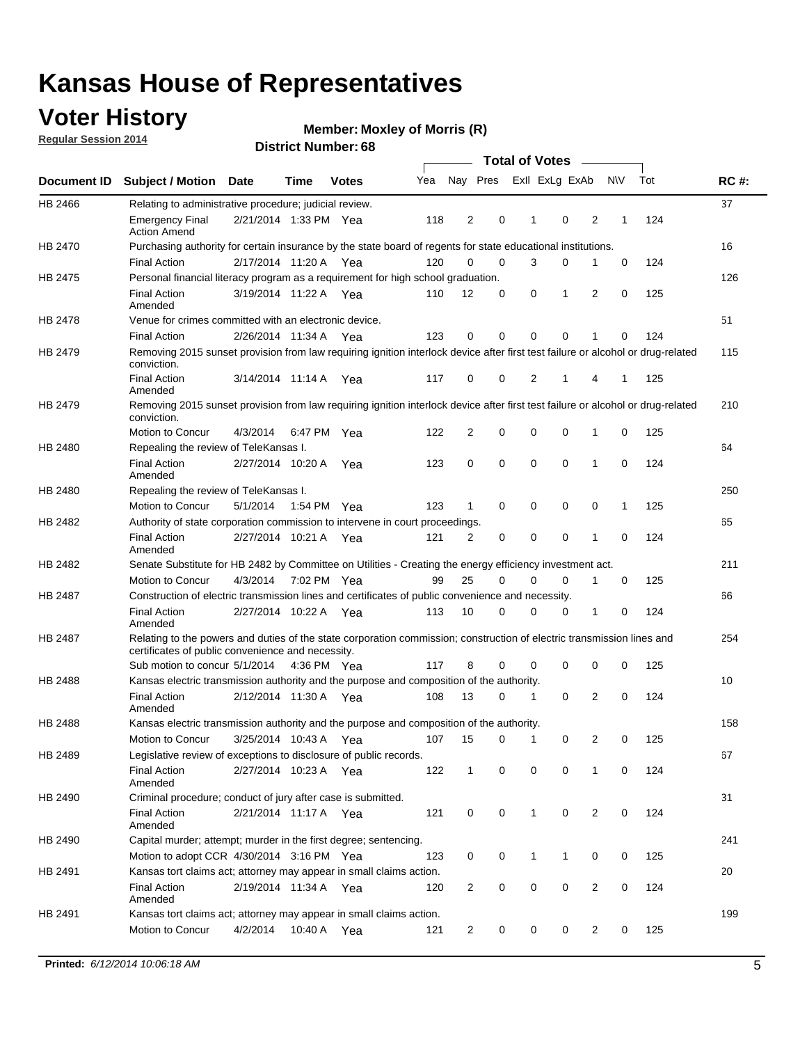### **Voter History**

**Regular Session 2014**

#### **Member: Moxley of Morris (R)**

|                |                                                                                                                                                                             |                       |             |              |     |                |             |              | <b>Total of Votes</b> |                |             |     |             |
|----------------|-----------------------------------------------------------------------------------------------------------------------------------------------------------------------------|-----------------------|-------------|--------------|-----|----------------|-------------|--------------|-----------------------|----------------|-------------|-----|-------------|
|                | Document ID Subject / Motion Date                                                                                                                                           |                       | Time        | <b>Votes</b> | Yea | Nay Pres       |             |              | Exll ExLg ExAb        |                | <b>NV</b>   | Tot | <b>RC#:</b> |
| HB 2466        | Relating to administrative procedure; judicial review.                                                                                                                      |                       |             |              |     |                |             |              |                       |                |             |     | 37          |
|                | <b>Emergency Final</b><br><b>Action Amend</b>                                                                                                                               | 2/21/2014 1:33 PM Yea |             |              | 118 | 2              | 0           | 1            | $\mathbf 0$           | $\overline{2}$ | 1           | 124 |             |
| HB 2470        | Purchasing authority for certain insurance by the state board of regents for state educational institutions.                                                                |                       |             |              |     |                |             |              |                       |                |             |     | 16          |
|                | <b>Final Action</b>                                                                                                                                                         | 2/17/2014 11:20 A Yea |             |              | 120 | $\Omega$       | $\mathbf 0$ | 3            | 0                     | 1              | 0           | 124 |             |
| HB 2475        | Personal financial literacy program as a requirement for high school graduation.                                                                                            |                       |             |              |     |                |             |              |                       |                |             |     | 126         |
|                | <b>Final Action</b><br>Amended                                                                                                                                              | 3/19/2014 11:22 A Yea |             |              | 110 | 12             | $\mathbf 0$ | 0            | 1                     | 2              | 0           | 125 |             |
| HB 2478        | Venue for crimes committed with an electronic device.                                                                                                                       |                       |             |              |     |                |             |              |                       |                |             |     | 51          |
|                | <b>Final Action</b>                                                                                                                                                         | 2/26/2014 11:34 A     |             | Yea          | 123 | $\mathbf 0$    | 0           | $\Omega$     | $\mathbf 0$           | 1              | 0           | 124 |             |
| HB 2479        | Removing 2015 sunset provision from law requiring ignition interlock device after first test failure or alcohol or drug-related<br>conviction.                              |                       |             |              |     |                |             |              |                       |                |             |     | 115         |
|                | <b>Final Action</b><br>Amended                                                                                                                                              | 3/14/2014 11:14 A     |             | Yea          | 117 | 0              | 0           | 2            | 1                     | 4              | 1           | 125 |             |
| HB 2479        | Removing 2015 sunset provision from law requiring ignition interlock device after first test failure or alcohol or drug-related<br>conviction.                              |                       |             |              |     |                |             |              |                       |                |             |     | 210         |
|                | Motion to Concur                                                                                                                                                            | 4/3/2014              |             | 6:47 PM Yea  | 122 | $\overline{2}$ | 0           | $\mathbf 0$  | $\mathbf 0$           | 1              | 0           | 125 |             |
| HB 2480        | Repealing the review of TeleKansas I.                                                                                                                                       |                       |             |              |     |                |             |              |                       |                |             |     | 64          |
|                | <b>Final Action</b><br>Amended                                                                                                                                              | 2/27/2014 10:20 A Yea |             |              | 123 | 0              | 0           | 0            | $\mathbf 0$           | 1              | 0           | 124 |             |
| HB 2480        | Repealing the review of TeleKansas I.                                                                                                                                       |                       |             |              |     |                |             |              |                       |                |             |     | 250         |
|                | Motion to Concur                                                                                                                                                            | 5/1/2014              | 1:54 PM Yea |              | 123 | $\mathbf{1}$   | $\mathbf 0$ | $\mathbf 0$  | $\mathbf 0$           | 0              | 1           | 125 |             |
| HB 2482        | Authority of state corporation commission to intervene in court proceedings.                                                                                                |                       |             |              |     |                |             |              |                       |                |             |     | 65          |
|                | <b>Final Action</b><br>Amended                                                                                                                                              | 2/27/2014 10:21 A     |             | Yea          | 121 | 2              | 0           | $\mathbf 0$  | $\mathbf 0$           | 1              | $\mathbf 0$ | 124 |             |
| HB 2482        | Senate Substitute for HB 2482 by Committee on Utilities - Creating the energy efficiency investment act.                                                                    |                       |             |              |     |                |             |              |                       |                |             |     | 211         |
|                | Motion to Concur                                                                                                                                                            | 4/3/2014 7:02 PM Yea  |             |              | 99  | 25             | $\Omega$    | 0            | 0                     | 1              | 0           | 125 |             |
| HB 2487        | Construction of electric transmission lines and certificates of public convenience and necessity.                                                                           |                       |             |              |     |                |             |              |                       |                |             |     | 66          |
|                | <b>Final Action</b><br>Amended                                                                                                                                              | 2/27/2014 10:22 A Yea |             |              | 113 | 10             | 0           | $\mathbf 0$  | 0                     | 1              | 0           | 124 |             |
| HB 2487        | Relating to the powers and duties of the state corporation commission; construction of electric transmission lines and<br>certificates of public convenience and necessity. |                       |             |              |     |                |             |              |                       |                |             |     | 254         |
|                | Sub motion to concur 5/1/2014 4:36 PM Yea                                                                                                                                   |                       |             |              | 117 | 8              | 0           | $\Omega$     | $\mathbf 0$           | 0              | 0           | 125 |             |
| <b>HB 2488</b> | Kansas electric transmission authority and the purpose and composition of the authority.                                                                                    |                       |             |              |     |                |             |              |                       |                |             |     | 10          |
|                | <b>Final Action</b><br>Amended                                                                                                                                              | 2/12/2014 11:30 A Yea |             |              | 108 | 13             | 0           | 1            | 0                     | $\overline{2}$ | 0           | 124 |             |
| HB 2488        | Kansas electric transmission authority and the purpose and composition of the authority.                                                                                    |                       |             |              |     |                |             |              |                       |                |             |     | 158         |
|                | <b>Motion to Concur</b>                                                                                                                                                     | 3/25/2014 10:43 A     |             | Yea          | 107 | 15             | 0           | 1            | 0                     | 2              | 0           | 125 |             |
| HB 2489        | Legislative review of exceptions to disclosure of public records.                                                                                                           |                       |             |              |     |                |             |              |                       |                |             |     | 67          |
|                | <b>Final Action</b><br>Amended                                                                                                                                              | 2/27/2014 10:23 A Yea |             |              | 122 | $\mathbf{1}$   | 0           | 0            | $\mathbf 0$           | $\mathbf{1}$   | 0           | 124 |             |
| HB 2490        | Criminal procedure; conduct of jury after case is submitted.                                                                                                                |                       |             |              |     |                |             |              |                       |                |             |     | 31          |
|                | <b>Final Action</b><br>Amended                                                                                                                                              | 2/21/2014 11:17 A Yea |             |              | 121 | 0              | 0           | $\mathbf{1}$ | $\mathbf 0$           | 2              | 0           | 124 |             |
| HB 2490        | Capital murder; attempt; murder in the first degree; sentencing.                                                                                                            |                       |             |              |     |                |             |              |                       |                |             |     | 241         |
|                | Motion to adopt CCR 4/30/2014 3:16 PM Yea                                                                                                                                   |                       |             |              | 123 | 0              | 0           | 1            | 1                     | 0              | 0           | 125 |             |
| HB 2491        | Kansas tort claims act; attorney may appear in small claims action.                                                                                                         |                       |             |              |     |                |             |              |                       |                |             |     | 20          |
|                | <b>Final Action</b><br>Amended                                                                                                                                              | 2/19/2014 11:34 A Yea |             |              | 120 | 2              | 0           | 0            | 0                     | 2              | 0           | 124 |             |
| HB 2491        | Kansas tort claims act; attorney may appear in small claims action.                                                                                                         |                       |             |              |     |                |             |              |                       |                |             |     | 199         |
|                | Motion to Concur                                                                                                                                                            | 4/2/2014              |             | 10:40 A Yea  | 121 | 2              | 0           | 0            | 0                     | 2              | 0           | 125 |             |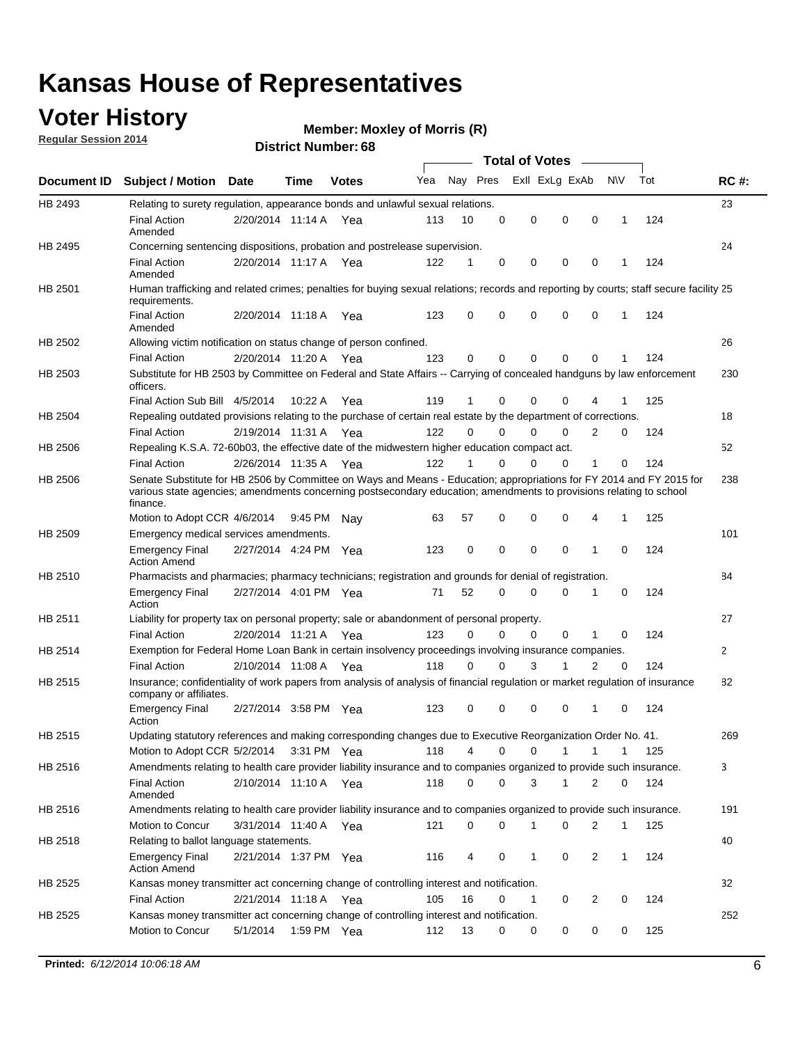### **Voter History**

**Regular Session 2014**

#### **Member: Moxley of Morris (R)**

|                |                                                                                                                                                                                                                                                        |                       |             | DISTRICT MAILINGL. 00 |     |          |             | Total of Votes – |                            |                               |     |              |
|----------------|--------------------------------------------------------------------------------------------------------------------------------------------------------------------------------------------------------------------------------------------------------|-----------------------|-------------|-----------------------|-----|----------|-------------|------------------|----------------------------|-------------------------------|-----|--------------|
| Document ID    | <b>Subject / Motion Date</b>                                                                                                                                                                                                                           |                       | Time        | <b>Votes</b>          | Yea | Nay Pres |             | Exll ExLg ExAb   |                            | N\V                           | Tot | <b>RC#:</b>  |
| HB 2493        | Relating to surety regulation, appearance bonds and unlawful sexual relations.                                                                                                                                                                         |                       |             |                       |     |          |             |                  |                            |                               |     | 23           |
|                | Final Action<br>Amended                                                                                                                                                                                                                                | 2/20/2014 11:14 A Yea |             |                       | 113 | 10       | $\mathbf 0$ | 0                | $\mathbf 0$                | $\mathbf 0$<br>1              | 124 |              |
| HB 2495        | Concerning sentencing dispositions, probation and postrelease supervision.                                                                                                                                                                             |                       |             |                       |     |          |             |                  |                            |                               |     | 24           |
|                | <b>Final Action</b><br>Amended                                                                                                                                                                                                                         | 2/20/2014 11:17 A     |             | Yea                   | 122 | 1        | $\mathbf 0$ | 0                | 0                          | 0<br>1                        | 124 |              |
| HB 2501        | Human trafficking and related crimes; penalties for buying sexual relations; records and reporting by courts; staff secure facility 25<br>requirements.                                                                                                |                       |             |                       |     |          |             |                  |                            |                               |     |              |
|                | <b>Final Action</b><br>Amended                                                                                                                                                                                                                         | 2/20/2014 11:18 A Yea |             |                       | 123 | 0        | 0           | 0                | $\Omega$                   | 0<br>1                        | 124 |              |
| HB 2502        | Allowing victim notification on status change of person confined.                                                                                                                                                                                      |                       |             |                       |     |          |             |                  |                            |                               |     | 26           |
|                | <b>Final Action</b>                                                                                                                                                                                                                                    | 2/20/2014 11:20 A Yea |             |                       | 123 | 0        | 0           | 0                | $\mathbf 0$<br>0           |                               | 124 |              |
| HB 2503        | Substitute for HB 2503 by Committee on Federal and State Affairs -- Carrying of concealed handguns by law enforcement<br>officers.                                                                                                                     |                       |             |                       |     |          |             |                  |                            |                               |     | 230          |
|                | Final Action Sub Bill 4/5/2014                                                                                                                                                                                                                         |                       | 10:22 A     | Yea                   | 119 | 1        | 0           | 0                | 0                          |                               | 125 |              |
| <b>HB 2504</b> | Repealing outdated provisions relating to the purchase of certain real estate by the department of corrections.                                                                                                                                        |                       |             |                       |     |          |             |                  |                            |                               |     | 18           |
|                | <b>Final Action</b>                                                                                                                                                                                                                                    | 2/19/2014 11:31 A Yea |             |                       | 122 | $\Omega$ | 0           | 0                | 0                          | 2<br>0                        | 124 |              |
| HB 2506        | Repealing K.S.A. 72-60b03, the effective date of the midwestern higher education compact act.                                                                                                                                                          |                       |             |                       |     |          |             |                  |                            |                               |     | 52           |
|                | <b>Final Action</b>                                                                                                                                                                                                                                    | 2/26/2014 11:35 A Yea |             |                       | 122 | 1        | $\mathbf 0$ | 0                | 0<br>1                     | 0                             | 124 |              |
| HB 2506        | Senate Substitute for HB 2506 by Committee on Ways and Means - Education; appropriations for FY 2014 and FY 2015 for<br>various state agencies; amendments concerning postsecondary education; amendments to provisions relating to school<br>finance. |                       |             |                       |     |          |             |                  |                            |                               |     | 238          |
|                | Motion to Adopt CCR 4/6/2014                                                                                                                                                                                                                           |                       | 9:45 PM Nav |                       | 63  | 57       | 0           | 0                | $\mathbf 0$                | 4<br>1                        | 125 |              |
| HB 2509        | Emergency medical services amendments.                                                                                                                                                                                                                 |                       |             |                       |     |          |             |                  |                            |                               |     | 101          |
|                | <b>Emergency Final</b><br><b>Action Amend</b>                                                                                                                                                                                                          | 2/27/2014 4:24 PM Yea |             |                       | 123 | 0        | $\mathbf 0$ | $\mathbf 0$      | $\Omega$<br>$\overline{1}$ | $\Omega$                      | 124 |              |
| HB 2510        | Pharmacists and pharmacies; pharmacy technicians; registration and grounds for denial of registration.                                                                                                                                                 |                       |             |                       |     |          |             |                  |                            |                               |     | 84           |
|                | <b>Emergency Final</b><br>Action                                                                                                                                                                                                                       | 2/27/2014 4:01 PM Yea |             |                       | 71  | 52       | 0           | 0                | $\Omega$<br>1              | 0                             | 124 |              |
| HB 2511        | Liability for property tax on personal property; sale or abandonment of personal property.                                                                                                                                                             |                       |             |                       |     |          |             |                  |                            |                               |     | 27           |
|                | <b>Final Action</b>                                                                                                                                                                                                                                    | 2/20/2014 11:21 A     |             | Yea                   | 123 | 0        | 0           | 0                | 0<br>1                     | 0                             | 124 |              |
| HB 2514        | Exemption for Federal Home Loan Bank in certain insolvency proceedings involving insurance companies.                                                                                                                                                  |                       |             |                       |     |          |             |                  |                            |                               |     | $\mathbf{2}$ |
|                | <b>Final Action</b>                                                                                                                                                                                                                                    | 2/10/2014 11:08 A     |             | Yea                   | 118 | 0        | $\Omega$    | 3<br>1           |                            | $\overline{2}$<br>$\mathbf 0$ | 124 |              |
| HB 2515        | Insurance; confidentiality of work papers from analysis of analysis of financial regulation or market regulation of insurance<br>company or affiliates.                                                                                                |                       |             |                       |     |          |             |                  |                            |                               |     | 82           |
|                | <b>Emergency Final</b><br>Action                                                                                                                                                                                                                       | 2/27/2014 3:58 PM Yea |             |                       | 123 | 0        | 0           | 0                | 0<br>-1                    | 0                             | 124 |              |
| HB 2515        | Updating statutory references and making corresponding changes due to Executive Reorganization Order No. 41.                                                                                                                                           |                       |             |                       |     |          |             |                  |                            |                               |     | 269          |
|                | Motion to Adopt CCR 5/2/2014 3:31 PM Yea                                                                                                                                                                                                               |                       |             |                       | 118 | 4        | 0           | 0                | 1<br>1                     | 1                             | 125 |              |
| HB 2516        | Amendments relating to health care provider liability insurance and to companies organized to provide such insurance.                                                                                                                                  |                       |             |                       |     |          |             |                  |                            |                               |     | 3            |
|                | <b>Final Action</b><br>Amended                                                                                                                                                                                                                         | 2/10/2014 11:10 A Yea |             |                       | 118 | 0        | 0           | 3                | 1                          | 2<br>0                        | 124 |              |
| HB 2516        | Amendments relating to health care provider liability insurance and to companies organized to provide such insurance.                                                                                                                                  |                       |             |                       |     |          |             |                  |                            |                               |     | 191          |
|                | Motion to Concur                                                                                                                                                                                                                                       | 3/31/2014 11:40 A Yea |             |                       | 121 | 0        | 0           | 1                | 0                          | 2<br>1                        | 125 |              |
| HB 2518        | Relating to ballot language statements.                                                                                                                                                                                                                |                       |             |                       |     |          |             |                  |                            |                               |     | 40           |
|                | <b>Emergency Final</b><br><b>Action Amend</b>                                                                                                                                                                                                          | 2/21/2014 1:37 PM Yea |             |                       | 116 | 4        | 0           | 1                | 0                          | $\overline{2}$<br>1           | 124 |              |
| HB 2525        | Kansas money transmitter act concerning change of controlling interest and notification.                                                                                                                                                               |                       |             |                       |     |          |             |                  |                            |                               |     | 32           |
|                | <b>Final Action</b>                                                                                                                                                                                                                                    | 2/21/2014 11:18 A Yea |             |                       | 105 | 16       | 0           | 1                | 0                          | $\overline{2}$<br>0           | 124 |              |
| HB 2525        | Kansas money transmitter act concerning change of controlling interest and notification.                                                                                                                                                               |                       |             |                       |     |          |             |                  |                            |                               |     | 252          |
|                | Motion to Concur                                                                                                                                                                                                                                       | 5/1/2014              | 1:59 PM Yea |                       | 112 | 13       | 0           | 0                | 0                          | 0<br>0                        | 125 |              |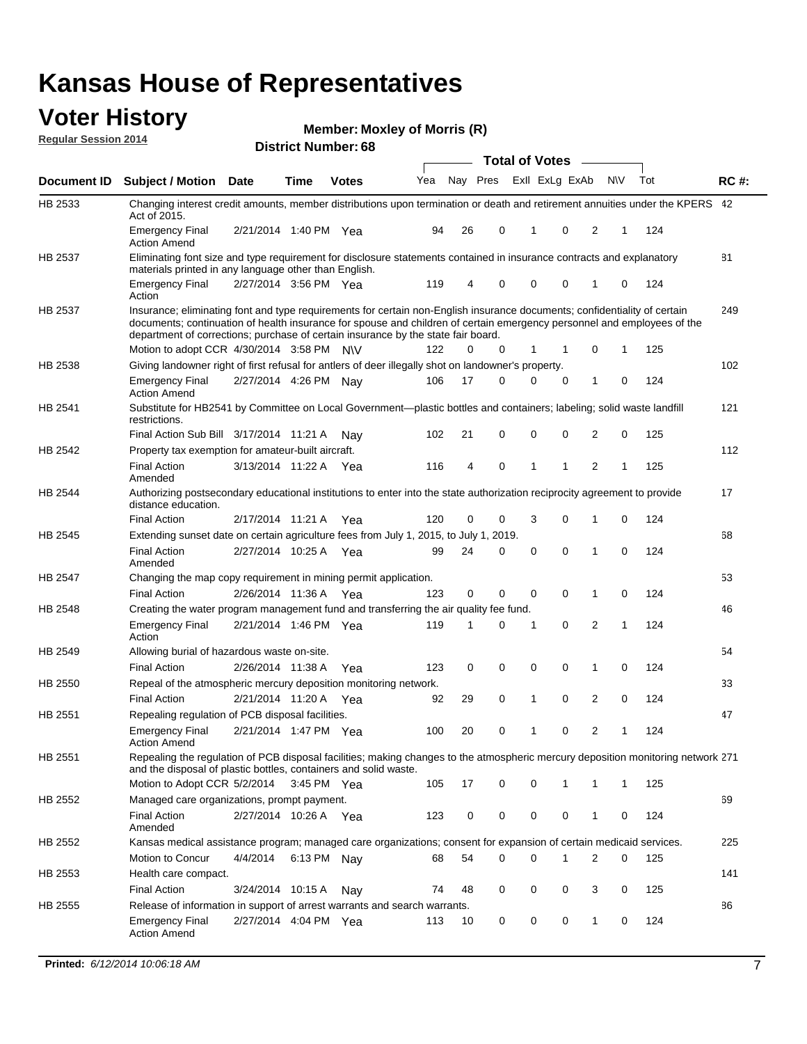#### **Voter History Regular Session 2014**

**Member: Moxley of Morris (R)** 

|                |                                                                                                                                                                                                                                                                                                                                           |                       |             | DISTRICT MAILINGL. 00 |     |    |          | <b>Total of Votes</b> |                |                |             |     |             |
|----------------|-------------------------------------------------------------------------------------------------------------------------------------------------------------------------------------------------------------------------------------------------------------------------------------------------------------------------------------------|-----------------------|-------------|-----------------------|-----|----|----------|-----------------------|----------------|----------------|-------------|-----|-------------|
| Document ID    | <b>Subject / Motion</b>                                                                                                                                                                                                                                                                                                                   | <b>Date</b>           | Time        | <b>Votes</b>          | Yea |    | Nay Pres |                       | Exll ExLg ExAb | <b>NV</b>      |             | Tot | <b>RC#:</b> |
| HB 2533        | Changing interest credit amounts, member distributions upon termination or death and retirement annuities under the KPERS 42<br>Act of 2015.                                                                                                                                                                                              |                       |             |                       |     |    |          |                       |                |                |             |     |             |
|                | <b>Emergency Final</b><br><b>Action Amend</b>                                                                                                                                                                                                                                                                                             | 2/21/2014 1:40 PM Yea |             |                       | 94  | 26 | 0        | 1                     | 0              | 2              | 1           | 124 |             |
| HB 2537        | Eliminating font size and type requirement for disclosure statements contained in insurance contracts and explanatory<br>materials printed in any language other than English.                                                                                                                                                            |                       |             |                       |     |    |          |                       |                |                |             |     | 81          |
|                | <b>Emergency Final</b><br>Action                                                                                                                                                                                                                                                                                                          | 2/27/2014 3:56 PM Yea |             |                       | 119 | 4  | 0        | 0                     | 0              | 1              | 0           | 124 |             |
| HB 2537        | Insurance; eliminating font and type requirements for certain non-English insurance documents; confidentiality of certain<br>documents; continuation of health insurance for spouse and children of certain emergency personnel and employees of the<br>department of corrections; purchase of certain insurance by the state fair board. |                       |             |                       |     |    |          |                       |                |                |             |     | 249         |
|                | Motion to adopt CCR 4/30/2014 3:58 PM N\V                                                                                                                                                                                                                                                                                                 |                       |             |                       | 122 | 0  | 0        | 1                     | 1              | 0              | 1           | 125 |             |
| HB 2538        | Giving landowner right of first refusal for antlers of deer illegally shot on landowner's property.                                                                                                                                                                                                                                       |                       |             |                       |     |    |          |                       |                |                |             |     | 102         |
|                | <b>Emergency Final</b><br><b>Action Amend</b>                                                                                                                                                                                                                                                                                             | 2/27/2014 4:26 PM Nay |             |                       | 106 | 17 | 0        | 0                     | 0              | $\mathbf{1}$   | 0           | 124 |             |
| HB 2541        | Substitute for HB2541 by Committee on Local Government—plastic bottles and containers; labeling; solid waste landfill<br>restrictions.                                                                                                                                                                                                    |                       |             |                       |     |    |          |                       |                |                |             |     | 121         |
|                | Final Action Sub Bill 3/17/2014 11:21 A                                                                                                                                                                                                                                                                                                   |                       |             | Nav                   | 102 | 21 | 0        | 0                     | 0              | $\overline{2}$ | 0           | 125 |             |
| HB 2542        | Property tax exemption for amateur-built aircraft.                                                                                                                                                                                                                                                                                        |                       |             |                       |     |    |          |                       |                |                |             |     | 112         |
|                | <b>Final Action</b><br>Amended                                                                                                                                                                                                                                                                                                            | 3/13/2014 11:22 A     |             | Yea                   | 116 | 4  | 0        | 1                     | 1              | $\overline{2}$ | 1           | 125 |             |
| HB 2544        | Authorizing postsecondary educational institutions to enter into the state authorization reciprocity agreement to provide<br>distance education.                                                                                                                                                                                          |                       |             |                       |     |    |          |                       |                |                |             |     | 17          |
|                | <b>Final Action</b>                                                                                                                                                                                                                                                                                                                       | 2/17/2014 11:21 A Yea |             |                       | 120 | 0  | 0        | 3                     | 0              | 1              | 0           | 124 |             |
| HB 2545        | Extending sunset date on certain agriculture fees from July 1, 2015, to July 1, 2019.<br>Final Action<br>Amended                                                                                                                                                                                                                          | 2/27/2014 10:25 A Yea |             |                       | 99  | 24 | $\Omega$ | 0                     | $\Omega$       | 1              | $\Omega$    | 124 | 68          |
| HB 2547        | Changing the map copy requirement in mining permit application.<br><b>Final Action</b>                                                                                                                                                                                                                                                    |                       |             |                       |     | 0  | 0        | 0                     | 0              | 1              | 0           |     | 53          |
|                |                                                                                                                                                                                                                                                                                                                                           | 2/26/2014 11:36 A     |             | Yea                   | 123 |    |          |                       |                |                |             | 124 |             |
| HB 2548        | Creating the water program management fund and transferring the air quality fee fund.                                                                                                                                                                                                                                                     |                       |             |                       |     |    |          |                       |                |                |             |     | 46          |
|                | <b>Emergency Final</b><br>Action                                                                                                                                                                                                                                                                                                          | 2/21/2014 1:46 PM Yea |             |                       | 119 | 1  | 0        | 1                     | 0              | $\overline{2}$ | 1           | 124 |             |
| HB 2549        | Allowing burial of hazardous waste on-site.                                                                                                                                                                                                                                                                                               |                       |             |                       |     |    |          |                       |                |                |             |     | 54          |
|                | <b>Final Action</b>                                                                                                                                                                                                                                                                                                                       | 2/26/2014 11:38 A     |             | Yea                   | 123 | 0  | 0        | 0                     | 0              | 1              | 0           | 124 |             |
| HB 2550        | Repeal of the atmospheric mercury deposition monitoring network.                                                                                                                                                                                                                                                                          |                       |             |                       |     |    |          |                       |                |                |             |     | 33          |
|                | <b>Final Action</b>                                                                                                                                                                                                                                                                                                                       | 2/21/2014 11:20 A     |             | Yea                   | 92  | 29 | 0        | 1                     | 0              | $\overline{2}$ | 0           | 124 |             |
| HB 2551        | Repealing regulation of PCB disposal facilities.                                                                                                                                                                                                                                                                                          |                       |             |                       |     |    |          |                       |                |                |             |     | 47          |
|                | <b>Emergency Final</b><br>Action Amend                                                                                                                                                                                                                                                                                                    | 2/21/2014 1:47 PM Yea |             |                       | 100 | 20 | 0        | 1                     | 0              | 2              | 1           | 124 |             |
| HB 2551        | Repealing the regulation of PCB disposal facilities; making changes to the atmospheric mercury deposition monitoring network 271<br>and the disposal of plastic bottles, containers and solid waste.                                                                                                                                      |                       |             |                       |     |    |          |                       |                |                |             |     |             |
|                | Motion to Adopt CCR 5/2/2014 3:45 PM Yea                                                                                                                                                                                                                                                                                                  |                       |             |                       | 105 | 17 | 0        | 0                     | 1              | 1              | 1           | 125 |             |
| <b>HB 2552</b> | Managed care organizations, prompt payment.                                                                                                                                                                                                                                                                                               |                       |             |                       |     |    |          |                       |                |                |             |     | 69          |
|                | Final Action<br>Amended                                                                                                                                                                                                                                                                                                                   | 2/27/2014 10:26 A Yea |             |                       | 123 | 0  | 0        | 0                     | 0              | 1              | 0           | 124 |             |
| HB 2552        | Kansas medical assistance program; managed care organizations; consent for expansion of certain medicaid services.                                                                                                                                                                                                                        |                       |             |                       |     |    |          |                       |                |                |             |     | 225         |
|                | Motion to Concur                                                                                                                                                                                                                                                                                                                          | 4/4/2014              | 6:13 PM Nay |                       | 68  | 54 | 0        | 0                     | 1              | 2              | $\mathbf 0$ | 125 |             |
| HB 2553        | Health care compact.                                                                                                                                                                                                                                                                                                                      |                       |             |                       |     |    |          |                       |                |                |             |     | 141         |
|                | <b>Final Action</b>                                                                                                                                                                                                                                                                                                                       | 3/24/2014 10:15 A     |             | Nay                   | 74  | 48 | 0        | 0                     | 0              | 3              | 0           | 125 |             |
| HB 2555        | Release of information in support of arrest warrants and search warrants.                                                                                                                                                                                                                                                                 |                       |             |                       |     |    |          |                       |                |                |             |     | 86          |
|                | <b>Emergency Final</b><br><b>Action Amend</b>                                                                                                                                                                                                                                                                                             | 2/27/2014 4:04 PM Yea |             |                       | 113 | 10 | 0        | 0                     | 0              | $\mathbf{1}$   | 0           | 124 |             |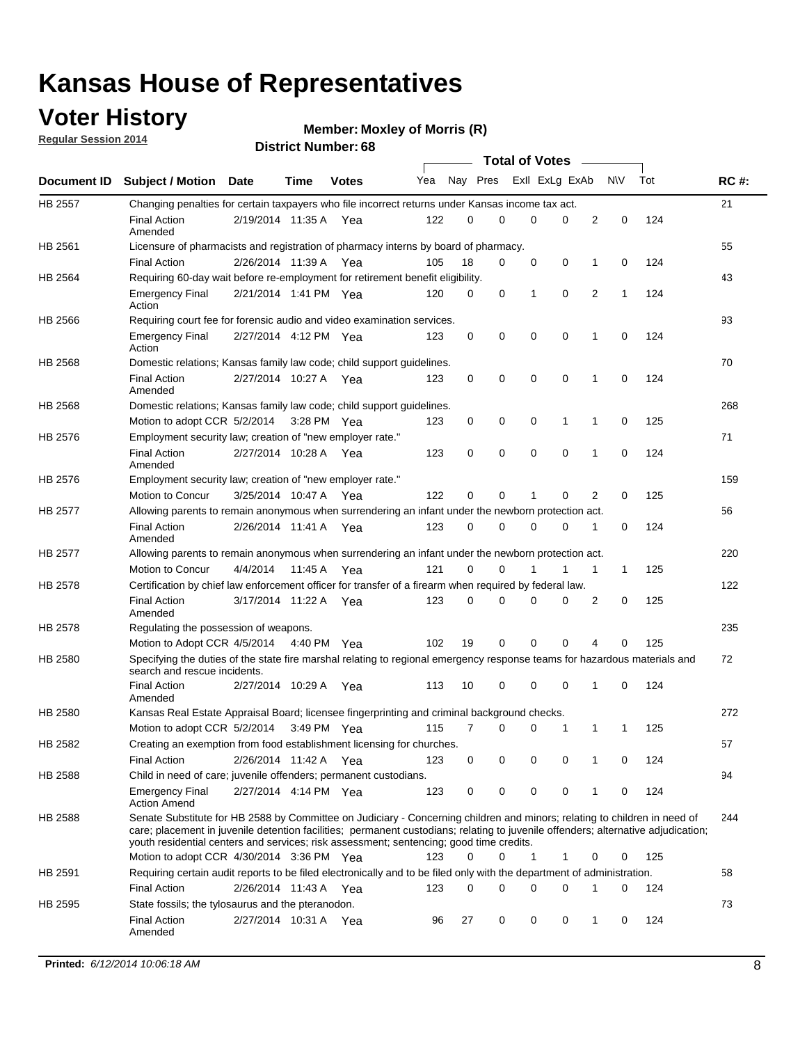### **Voter History**

**Regular Session 2014**

#### **Member: Moxley of Morris (R)**

|                |                                                                                                                                                                                                                                                                                                                                                           |                       |         | <b>DISTRICT MAILINGL. 00</b> |     |          |             |              | <b>Total of Votes</b> |                |           |     |             |
|----------------|-----------------------------------------------------------------------------------------------------------------------------------------------------------------------------------------------------------------------------------------------------------------------------------------------------------------------------------------------------------|-----------------------|---------|------------------------------|-----|----------|-------------|--------------|-----------------------|----------------|-----------|-----|-------------|
|                | Document ID Subject / Motion Date                                                                                                                                                                                                                                                                                                                         |                       | Time    | <b>Votes</b>                 | Yea |          | Nay Pres    |              | Exll ExLg ExAb        |                | <b>NV</b> | Tot | <b>RC#:</b> |
| <b>HB 2557</b> | Changing penalties for certain taxpayers who file incorrect returns under Kansas income tax act.                                                                                                                                                                                                                                                          |                       |         |                              |     |          |             |              |                       |                |           |     | 21          |
|                | <b>Final Action</b><br>Amended                                                                                                                                                                                                                                                                                                                            | 2/19/2014 11:35 A Yea |         |                              | 122 | 0        | 0           | 0            | $\Omega$              | 2              | 0         | 124 |             |
| HB 2561        | Licensure of pharmacists and registration of pharmacy interns by board of pharmacy.                                                                                                                                                                                                                                                                       |                       |         |                              |     |          |             |              |                       |                |           |     | 55          |
|                | <b>Final Action</b>                                                                                                                                                                                                                                                                                                                                       | 2/26/2014 11:39 A     |         | Yea                          | 105 | 18       | 0           | 0            | 0                     | 1              | 0         | 124 |             |
| HB 2564        | Requiring 60-day wait before re-employment for retirement benefit eligibility.                                                                                                                                                                                                                                                                            |                       |         |                              |     |          |             |              |                       |                |           |     | 43          |
|                | <b>Emergency Final</b><br>Action                                                                                                                                                                                                                                                                                                                          | 2/21/2014 1:41 PM Yea |         |                              | 120 | 0        | $\mathbf 0$ | $\mathbf{1}$ | $\mathbf 0$           | $\overline{2}$ | 1         | 124 |             |
| HB 2566        | Requiring court fee for forensic audio and video examination services.                                                                                                                                                                                                                                                                                    |                       |         |                              |     |          |             |              |                       |                |           |     | 93          |
|                | <b>Emergency Final</b><br>Action                                                                                                                                                                                                                                                                                                                          | 2/27/2014 4:12 PM Yea |         |                              | 123 | 0        | 0           | 0            | 0                     | $\mathbf 1$    | 0         | 124 |             |
| HB 2568        | Domestic relations; Kansas family law code; child support guidelines.                                                                                                                                                                                                                                                                                     |                       |         |                              |     |          |             |              |                       |                |           |     | 70          |
|                | <b>Final Action</b><br>Amended                                                                                                                                                                                                                                                                                                                            | 2/27/2014 10:27 A Yea |         |                              | 123 | 0        | 0           | 0            | $\mathbf 0$           | 1              | 0         | 124 |             |
| HB 2568        | Domestic relations; Kansas family law code; child support guidelines.                                                                                                                                                                                                                                                                                     |                       |         |                              |     |          |             |              |                       |                |           |     | 268         |
|                | Motion to adopt CCR 5/2/2014                                                                                                                                                                                                                                                                                                                              |                       |         | 3:28 PM Yea                  | 123 | 0        | 0           | 0            | 1                     | 1              | 0         | 125 |             |
| HB 2576        | Employment security law; creation of "new employer rate."                                                                                                                                                                                                                                                                                                 |                       |         |                              |     |          |             |              |                       |                |           |     | 71          |
|                | <b>Final Action</b><br>Amended                                                                                                                                                                                                                                                                                                                            | 2/27/2014 10:28 A Yea |         |                              | 123 | 0        | $\mathbf 0$ | $\mathbf 0$  | $\mathbf 0$           | 1              | 0         | 124 |             |
| HB 2576        | Employment security law; creation of "new employer rate."                                                                                                                                                                                                                                                                                                 |                       |         |                              |     |          |             |              |                       |                |           |     | 159         |
|                | Motion to Concur                                                                                                                                                                                                                                                                                                                                          | 3/25/2014 10:47 A     |         | Yea                          | 122 | $\Omega$ | 0           | 1            | 0                     | 2              | 0         | 125 |             |
| <b>HB 2577</b> | Allowing parents to remain anonymous when surrendering an infant under the newborn protection act.                                                                                                                                                                                                                                                        |                       |         |                              |     |          |             |              |                       |                |           |     | 56          |
|                | <b>Final Action</b><br>Amended                                                                                                                                                                                                                                                                                                                            | 2/26/2014 11:41 A     |         | Yea                          | 123 | 0        | 0           | 0            | 0                     | 1              | 0         | 124 |             |
| HB 2577        | Allowing parents to remain anonymous when surrendering an infant under the newborn protection act.                                                                                                                                                                                                                                                        |                       |         |                              |     |          |             |              |                       |                |           |     | 220         |
|                | <b>Motion to Concur</b>                                                                                                                                                                                                                                                                                                                                   | 4/4/2014              | 11:45 A | Yea                          | 121 | $\Omega$ | 0           | 1            | 1                     | 1              | 1         | 125 |             |
| HB 2578        | Certification by chief law enforcement officer for transfer of a firearm when required by federal law.                                                                                                                                                                                                                                                    |                       |         |                              |     |          |             |              |                       |                |           |     | 122         |
|                | <b>Final Action</b><br>Amended                                                                                                                                                                                                                                                                                                                            | 3/17/2014 11:22 A Yea |         |                              | 123 | $\Omega$ | 0           | 0            | 0                     | 2              | 0         | 125 |             |
| HB 2578        | Regulating the possession of weapons.                                                                                                                                                                                                                                                                                                                     |                       |         |                              |     |          |             |              |                       |                |           |     | 235         |
|                | Motion to Adopt CCR 4/5/2014 4:40 PM Yea                                                                                                                                                                                                                                                                                                                  |                       |         |                              | 102 | 19       | $\mathbf 0$ | $\mathbf 0$  | 0                     | 4              | 0         | 125 |             |
| HB 2580        | Specifying the duties of the state fire marshal relating to regional emergency response teams for hazardous materials and<br>search and rescue incidents.                                                                                                                                                                                                 |                       |         |                              |     |          |             |              |                       |                |           |     | 72          |
|                | <b>Final Action</b><br>Amended                                                                                                                                                                                                                                                                                                                            | 2/27/2014 10:29 A     |         | Yea                          | 113 | 10       | 0           | $\mathbf 0$  | $\mathbf 0$           | 1              | 0         | 124 |             |
| HB 2580        | Kansas Real Estate Appraisal Board; licensee fingerprinting and criminal background checks.                                                                                                                                                                                                                                                               |                       |         |                              |     |          |             |              |                       |                |           |     | 272         |
|                | Motion to adopt CCR 5/2/2014                                                                                                                                                                                                                                                                                                                              |                       |         | 3:49 PM Yea                  | 115 | 7        | 0           | 0            | 1                     | 1              | 1         | 125 |             |
| HB 2582        | Creating an exemption from food establishment licensing for churches.                                                                                                                                                                                                                                                                                     |                       |         |                              |     |          |             |              |                       |                |           |     | 57          |
|                | <b>Final Action</b>                                                                                                                                                                                                                                                                                                                                       | 2/26/2014 11:42 A     |         | Yea                          | 123 | 0        | 0           | 0            | 0                     | 1              | 0         | 124 |             |
| HB 2588        | Child in need of care; juvenile offenders; permanent custodians.                                                                                                                                                                                                                                                                                          |                       |         |                              |     |          |             |              |                       |                |           |     | 94          |
|                | <b>Emergency Final</b><br><b>Action Amend</b>                                                                                                                                                                                                                                                                                                             | 2/27/2014 4:14 PM Yea |         |                              | 123 | 0        | 0           | 0            | 0                     | 1              | 0         | 124 |             |
| HB 2588        | Senate Substitute for HB 2588 by Committee on Judiciary - Concerning children and minors; relating to children in need of<br>care; placement in juvenile detention facilities; permanent custodians; relating to juvenile offenders; alternative adjudication;<br>youth residential centers and services; risk assessment; sentencing; good time credits. |                       |         |                              |     |          |             |              |                       |                |           |     | 244         |
|                | Motion to adopt CCR 4/30/2014 3:36 PM Yea                                                                                                                                                                                                                                                                                                                 |                       |         |                              | 123 | 0        | 0           | $\mathbf{1}$ | 1                     | 0              | 0         | 125 |             |
| HB 2591        | Requiring certain audit reports to be filed electronically and to be filed only with the department of administration.                                                                                                                                                                                                                                    |                       |         |                              |     |          |             |              |                       |                |           |     | 58          |
|                | <b>Final Action</b>                                                                                                                                                                                                                                                                                                                                       | 2/26/2014 11:43 A Yea |         |                              | 123 | 0        | 0           | 0            | 0                     | 1              | 0         | 124 |             |
| HB 2595        | State fossils; the tylosaurus and the pteranodon.                                                                                                                                                                                                                                                                                                         |                       |         |                              |     |          |             |              |                       |                |           |     | 73          |
|                | <b>Final Action</b><br>Amended                                                                                                                                                                                                                                                                                                                            | 2/27/2014 10:31 A Yea |         |                              | 96  | 27       | 0           | 0            | 0                     | 1              | 0         | 124 |             |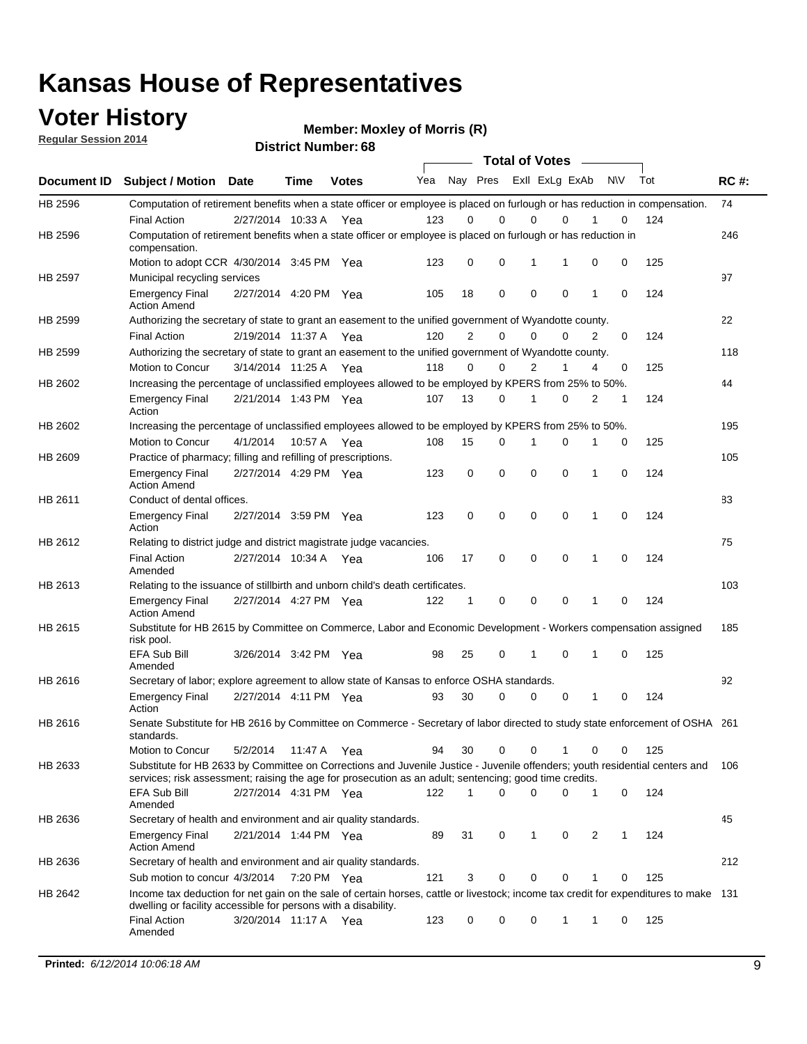### **Voter History**

**Regular Session 2014**

**Member: Moxley of Morris (R)** 

|             |                                                                                                                                                                                                                                       |                       |             |              |     |    | <b>Total of Votes</b>   |             |             |   |     |     |             |
|-------------|---------------------------------------------------------------------------------------------------------------------------------------------------------------------------------------------------------------------------------------|-----------------------|-------------|--------------|-----|----|-------------------------|-------------|-------------|---|-----|-----|-------------|
| Document ID | <b>Subject / Motion</b>                                                                                                                                                                                                               | Date                  | <b>Time</b> | <b>Votes</b> | Yea |    | Nay Pres Exll ExLg ExAb |             |             |   | N\V | Tot | <b>RC#:</b> |
| HB 2596     | Computation of retirement benefits when a state officer or employee is placed on furlough or has reduction in compensation.                                                                                                           |                       |             |              |     |    |                         |             |             |   |     |     | 74          |
| HB 2596     | <b>Final Action</b><br>Computation of retirement benefits when a state officer or employee is placed on furlough or has reduction in                                                                                                  | 2/27/2014 10:33 A     |             | Yea          | 123 | 0  | $\Omega$                | 0           | 0           |   | 0   | 124 | 246         |
|             | compensation.                                                                                                                                                                                                                         |                       |             |              |     |    |                         |             |             |   |     |     |             |
|             | Motion to adopt CCR 4/30/2014 3:45 PM Yea                                                                                                                                                                                             |                       |             |              | 123 | 0  | 0                       | 1           | 1           | 0 | 0   | 125 |             |
| HB 2597     | Municipal recycling services                                                                                                                                                                                                          |                       |             |              |     |    |                         |             |             |   |     |     | 97          |
|             | <b>Emergency Final</b><br><b>Action Amend</b>                                                                                                                                                                                         | 2/27/2014 4:20 PM Yea |             |              | 105 | 18 | $\mathbf 0$             | $\mathbf 0$ | $\mathbf 0$ | 1 | 0   | 124 |             |
| HB 2599     | Authorizing the secretary of state to grant an easement to the unified government of Wyandotte county.                                                                                                                                |                       |             |              |     |    |                         |             |             |   |     |     | 22          |
|             | <b>Final Action</b>                                                                                                                                                                                                                   | 2/19/2014 11:37 A     |             | Yea          | 120 | 2  | 0                       | 0           | 0           | 2 | 0   | 124 |             |
| HB 2599     | Authorizing the secretary of state to grant an easement to the unified government of Wyandotte county.                                                                                                                                |                       |             |              |     |    |                         |             |             |   |     |     | 118         |
|             | Motion to Concur                                                                                                                                                                                                                      | 3/14/2014 11:25 A Yea |             |              | 118 | 0  | 0                       | 2           | 1           | 4 | 0   | 125 |             |
| HB 2602     | Increasing the percentage of unclassified employees allowed to be employed by KPERS from 25% to 50%.                                                                                                                                  |                       |             |              |     |    |                         |             |             |   |     |     | 44          |
|             | <b>Emergency Final</b><br>Action                                                                                                                                                                                                      | 2/21/2014 1:43 PM Yea |             |              | 107 | 13 | 0                       | 1           | 0           | 2 | 1   | 124 |             |
| HB 2602     | Increasing the percentage of unclassified employees allowed to be employed by KPERS from 25% to 50%.                                                                                                                                  |                       |             |              |     |    |                         |             |             |   |     |     | 195         |
|             | Motion to Concur                                                                                                                                                                                                                      | 4/1/2014              | 10:57 A     | Yea          | 108 | 15 | 0                       | 1           | $\Omega$    | 1 | 0   | 125 |             |
| HB 2609     | Practice of pharmacy; filling and refilling of prescriptions.                                                                                                                                                                         |                       |             |              |     |    |                         |             |             |   |     |     | 105         |
|             | <b>Emergency Final</b><br><b>Action Amend</b>                                                                                                                                                                                         | 2/27/2014 4:29 PM Yea |             |              | 123 | 0  | $\mathbf 0$             | $\mathbf 0$ | $\Omega$    | 1 | 0   | 124 |             |
| HB 2611     | Conduct of dental offices.                                                                                                                                                                                                            |                       |             |              |     |    |                         |             |             |   |     |     | 83          |
|             | <b>Emergency Final</b><br>Action                                                                                                                                                                                                      | 2/27/2014 3:59 PM Yea |             |              | 123 | 0  | $\mathbf 0$             | 0           | $\mathbf 0$ | 1 | 0   | 124 |             |
| HB 2612     | Relating to district judge and district magistrate judge vacancies.                                                                                                                                                                   |                       |             |              |     |    |                         |             |             |   |     |     | 75          |
|             | <b>Final Action</b><br>Amended                                                                                                                                                                                                        | 2/27/2014 10:34 A     |             | Yea          | 106 | 17 | 0                       | $\mathbf 0$ | $\mathbf 0$ | 1 | 0   | 124 |             |
| HB 2613     | Relating to the issuance of stillbirth and unborn child's death certificates.                                                                                                                                                         |                       |             |              |     |    |                         |             |             |   |     |     | 103         |
|             | <b>Emergency Final</b><br><b>Action Amend</b>                                                                                                                                                                                         | 2/27/2014 4:27 PM Yea |             |              | 122 | 1  | $\mathbf 0$             | $\mathbf 0$ | 0           | 1 | 0   | 124 |             |
| HB 2615     | Substitute for HB 2615 by Committee on Commerce, Labor and Economic Development - Workers compensation assigned<br>risk pool.                                                                                                         |                       |             |              |     |    |                         |             |             |   |     |     | 185         |
|             | EFA Sub Bill<br>Amended                                                                                                                                                                                                               | 3/26/2014 3:42 PM Yea |             |              | 98  | 25 | 0                       | 1           | 0           | 1 | 0   | 125 |             |
| HB 2616     | Secretary of labor; explore agreement to allow state of Kansas to enforce OSHA standards.                                                                                                                                             |                       |             |              |     |    |                         |             |             |   |     |     | 92          |
|             | <b>Emergency Final</b><br>Action                                                                                                                                                                                                      | 2/27/2014 4:11 PM Yea |             |              | 93  | 30 | 0                       | $\mathbf 0$ | 0           | 1 | 0   | 124 |             |
| HB 2616     | Senate Substitute for HB 2616 by Committee on Commerce - Secretary of labor directed to study state enforcement of OSHA 261<br>standards.                                                                                             |                       |             |              |     |    |                         |             |             |   |     |     |             |
|             | Motion to Concur                                                                                                                                                                                                                      | 5/2/2014              | 11:47 A     | Yea          | 94  | 30 | $\mathbf 0$             | $\mathbf 0$ | 1           | 0 | 0   | 125 |             |
| HB 2633     | Substitute for HB 2633 by Committee on Corrections and Juvenile Justice - Juvenile offenders; youth residential centers and<br>services; risk assessment; raising the age for prosecution as an adult; sentencing; good time credits. |                       |             |              |     |    |                         |             |             |   |     |     | 106         |
|             | EFA Sub Bill<br>Amended                                                                                                                                                                                                               | 2/27/2014 4:31 PM Yea |             |              | 122 | 1  | $\Omega$                | 0           | 0           | 1 | 0   | 124 |             |
| HB 2636     | Secretary of health and environment and air quality standards.                                                                                                                                                                        |                       |             |              |     |    |                         |             |             |   |     |     | 45          |
|             | <b>Emergency Final</b><br><b>Action Amend</b>                                                                                                                                                                                         | 2/21/2014 1:44 PM Yea |             |              | 89  | 31 | 0                       | 1           | 0           | 2 | 1   | 124 |             |
| HB 2636     | Secretary of health and environment and air quality standards.                                                                                                                                                                        |                       |             |              |     |    |                         |             |             |   |     |     | 212         |
|             | Sub motion to concur 4/3/2014                                                                                                                                                                                                         |                       | 7:20 PM Yea |              | 121 | 3  | 0                       | 0           | 0           | 1 | 0   | 125 |             |
| HB 2642     | Income tax deduction for net gain on the sale of certain horses, cattle or livestock; income tax credit for expenditures to make 131                                                                                                  |                       |             |              |     |    |                         |             |             |   |     |     |             |
|             | dwelling or facility accessible for persons with a disability.                                                                                                                                                                        |                       |             |              |     |    |                         |             |             |   |     |     |             |
|             | <b>Final Action</b><br>Amended                                                                                                                                                                                                        | 3/20/2014 11:17 A Yea |             |              | 123 | 0  | 0                       | 0           | 1           | 1 | 0   | 125 |             |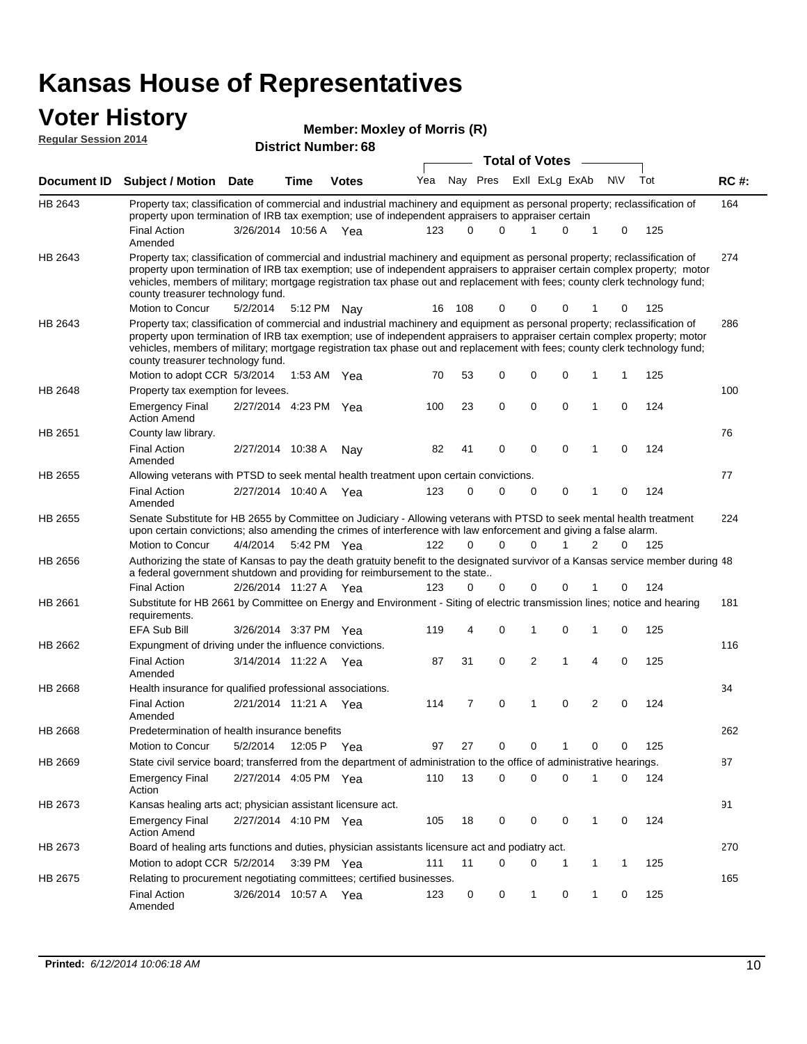#### **Voter History**

| <b>Member: Moxley of Morris (R)</b> |  |
|-------------------------------------|--|
|-------------------------------------|--|

| <b>Regular Session 2014</b> |                                                                                                                                                                                                                                                                                                                                                                                                                               |                       |         | <b>MCMDCLANDAICY OF MOTHS</b><br><b>District Number: 68</b> |     |     |          |                       |                         |              |           |     |             |
|-----------------------------|-------------------------------------------------------------------------------------------------------------------------------------------------------------------------------------------------------------------------------------------------------------------------------------------------------------------------------------------------------------------------------------------------------------------------------|-----------------------|---------|-------------------------------------------------------------|-----|-----|----------|-----------------------|-------------------------|--------------|-----------|-----|-------------|
|                             |                                                                                                                                                                                                                                                                                                                                                                                                                               |                       |         |                                                             |     |     |          | <b>Total of Votes</b> |                         |              |           |     |             |
| Document ID                 | <b>Subject / Motion Date</b>                                                                                                                                                                                                                                                                                                                                                                                                  |                       | Time    | <b>Votes</b>                                                | Yea |     |          |                       | Nay Pres ExII ExLg ExAb |              | <b>NV</b> | Tot | <b>RC#:</b> |
| HB 2643                     | Property tax; classification of commercial and industrial machinery and equipment as personal property; reclassification of<br>property upon termination of IRB tax exemption; use of independent appraisers to appraiser certain<br><b>Final Action</b>                                                                                                                                                                      | 3/26/2014 10:56 A     |         |                                                             | 123 | 0   | $\Omega$ | 1                     | 0                       | 1            | 0         | 125 | 164         |
|                             | Amended                                                                                                                                                                                                                                                                                                                                                                                                                       |                       |         | Yea                                                         |     |     |          |                       |                         |              |           |     |             |
| HB 2643                     | Property tax; classification of commercial and industrial machinery and equipment as personal property; reclassification of<br>property upon termination of IRB tax exemption; use of independent appraisers to appraiser certain complex property; motor<br>vehicles, members of military; mortgage registration tax phase out and replacement with fees; county clerk technology fund;<br>county treasurer technology fund. |                       |         |                                                             |     |     |          |                       |                         |              |           |     | 274         |
|                             | Motion to Concur                                                                                                                                                                                                                                                                                                                                                                                                              | 5/2/2014              |         | 5:12 PM Nay                                                 | 16  | 108 | 0        | 0                     | 0                       |              | 0         | 125 |             |
| HB 2643                     | Property tax; classification of commercial and industrial machinery and equipment as personal property; reclassification of<br>property upon termination of IRB tax exemption; use of independent appraisers to appraiser certain complex property; motor<br>vehicles, members of military; mortgage registration tax phase out and replacement with fees; county clerk technology fund;<br>county treasurer technology fund. |                       |         |                                                             |     |     |          |                       |                         |              |           |     | 286         |
|                             | Motion to adopt CCR 5/3/2014                                                                                                                                                                                                                                                                                                                                                                                                  |                       | 1:53 AM | Yea                                                         | 70  | 53  | 0        | 0                     | $\mathbf 0$             | 1            | 1         | 125 |             |
| HB 2648                     | Property tax exemption for levees.                                                                                                                                                                                                                                                                                                                                                                                            |                       |         |                                                             |     |     |          |                       |                         |              |           |     | 100         |
|                             | Emergency Final<br><b>Action Amend</b>                                                                                                                                                                                                                                                                                                                                                                                        | 2/27/2014 4:23 PM Yea |         |                                                             | 100 | 23  | 0        | $\mathbf 0$           | $\mathbf 0$             | 1            | 0         | 124 |             |
| HB 2651                     | County law library.                                                                                                                                                                                                                                                                                                                                                                                                           |                       |         |                                                             |     |     |          |                       |                         |              |           |     | 76          |
|                             | <b>Final Action</b><br>Amended                                                                                                                                                                                                                                                                                                                                                                                                | 2/27/2014 10:38 A     |         | Nay                                                         | 82  | 41  | 0        | $\mathbf 0$           | $\mathbf 0$             | 1            | 0         | 124 |             |
| HB 2655                     | Allowing veterans with PTSD to seek mental health treatment upon certain convictions.                                                                                                                                                                                                                                                                                                                                         |                       |         |                                                             |     |     |          |                       |                         |              |           |     | 77          |
|                             | <b>Final Action</b><br>Amended                                                                                                                                                                                                                                                                                                                                                                                                | 2/27/2014 10:40 A     |         | Yea                                                         | 123 | 0   | 0        | 0                     | 0                       | 1            | 0         | 124 |             |
| HB 2655                     | Senate Substitute for HB 2655 by Committee on Judiciary - Allowing veterans with PTSD to seek mental health treatment<br>upon certain convictions; also amending the crimes of interference with law enforcement and giving a false alarm.                                                                                                                                                                                    |                       |         |                                                             |     |     |          |                       |                         |              |           |     | 224         |
|                             | Motion to Concur                                                                                                                                                                                                                                                                                                                                                                                                              | 4/4/2014              |         | 5:42 PM Yea                                                 | 122 | 0   | $\Omega$ | 0                     |                         | 2            | 0         | 125 |             |
| HB 2656                     | Authorizing the state of Kansas to pay the death gratuity benefit to the designated survivor of a Kansas service member during 48<br>a federal government shutdown and providing for reimbursement to the state                                                                                                                                                                                                               |                       |         |                                                             |     |     |          |                       |                         |              |           |     |             |
|                             | <b>Final Action</b>                                                                                                                                                                                                                                                                                                                                                                                                           | 2/26/2014 11:27 A Yea |         |                                                             | 123 | 0   | 0        | 0                     | 0                       |              | 0         | 124 |             |
| HB 2661                     | Substitute for HB 2661 by Committee on Energy and Environment - Siting of electric transmission lines; notice and hearing<br>requirements.                                                                                                                                                                                                                                                                                    |                       |         |                                                             |     |     |          |                       |                         |              |           |     | 181         |
|                             | <b>EFA Sub Bill</b>                                                                                                                                                                                                                                                                                                                                                                                                           | 3/26/2014 3:37 PM Yea |         |                                                             | 119 | 4   | 0        | 1                     | 0                       | 1            | 0         | 125 |             |
| HB 2662                     | Expungment of driving under the influence convictions.                                                                                                                                                                                                                                                                                                                                                                        |                       |         |                                                             |     |     |          |                       |                         |              |           |     | 116         |
|                             | <b>Final Action</b><br>Amended                                                                                                                                                                                                                                                                                                                                                                                                | 3/14/2014 11:22 A Yea |         |                                                             | 87  | 31  | 0        | $\overline{2}$        | 1                       | 4            | 0         | 125 |             |
| <b>HB 2668</b>              | Health insurance for qualified professional associations.                                                                                                                                                                                                                                                                                                                                                                     |                       |         |                                                             |     |     |          |                       |                         |              |           |     | 34          |
|                             | <b>Final Action</b><br>Amended                                                                                                                                                                                                                                                                                                                                                                                                | 2/21/2014 11:21 A     |         | Yea                                                         | 114 | 7   | 0        | 1                     | $\mathbf 0$             | 2            | 0         | 124 |             |
| HB 2668                     | Predetermination of health insurance benefits                                                                                                                                                                                                                                                                                                                                                                                 |                       |         |                                                             |     |     |          |                       |                         |              |           |     | 262         |
|                             | <b>Motion to Concur</b>                                                                                                                                                                                                                                                                                                                                                                                                       | 5/2/2014              | 12:05 P | Yea                                                         | 97  | 27  | 0        | 0                     | 1                       | 0            | 0         | 125 |             |
| HB 2669                     | State civil service board; transferred from the department of administration to the office of administrative hearings.                                                                                                                                                                                                                                                                                                        |                       |         |                                                             |     |     |          |                       |                         |              |           |     | 87          |
|                             | <b>Emergency Final</b><br>Action                                                                                                                                                                                                                                                                                                                                                                                              | 2/27/2014 4:05 PM Yea |         |                                                             | 110 | 13  | 0        | $\mathbf 0$           | $\mathbf 0$             | 1            | 0         | 124 |             |
| HB 2673                     | Kansas healing arts act; physician assistant licensure act.                                                                                                                                                                                                                                                                                                                                                                   |                       |         |                                                             |     |     |          |                       |                         |              |           |     | 91          |
|                             | <b>Emergency Final</b><br><b>Action Amend</b>                                                                                                                                                                                                                                                                                                                                                                                 | 2/27/2014 4:10 PM Yea |         |                                                             | 105 | 18  | 0        | 0                     | 0                       | $\mathbf{1}$ | 0         | 124 |             |
| HB 2673                     | Board of healing arts functions and duties, physician assistants licensure act and podiatry act.                                                                                                                                                                                                                                                                                                                              |                       |         |                                                             |     |     |          |                       |                         |              |           |     | 270         |
|                             | Motion to adopt CCR 5/2/2014                                                                                                                                                                                                                                                                                                                                                                                                  |                       |         | 3:39 PM Yea                                                 | 111 | 11  | 0        | 0                     | 1                       | 1            | 1         | 125 |             |
| HB 2675                     | Relating to procurement negotiating committees; certified businesses.                                                                                                                                                                                                                                                                                                                                                         |                       |         |                                                             |     |     |          |                       |                         |              |           |     | 165         |
|                             | Final Action<br>Amended                                                                                                                                                                                                                                                                                                                                                                                                       | 3/26/2014 10:57 A Yea |         |                                                             | 123 | 0   | 0        | $\mathbf{1}$          | 0                       | 1            | 0         | 125 |             |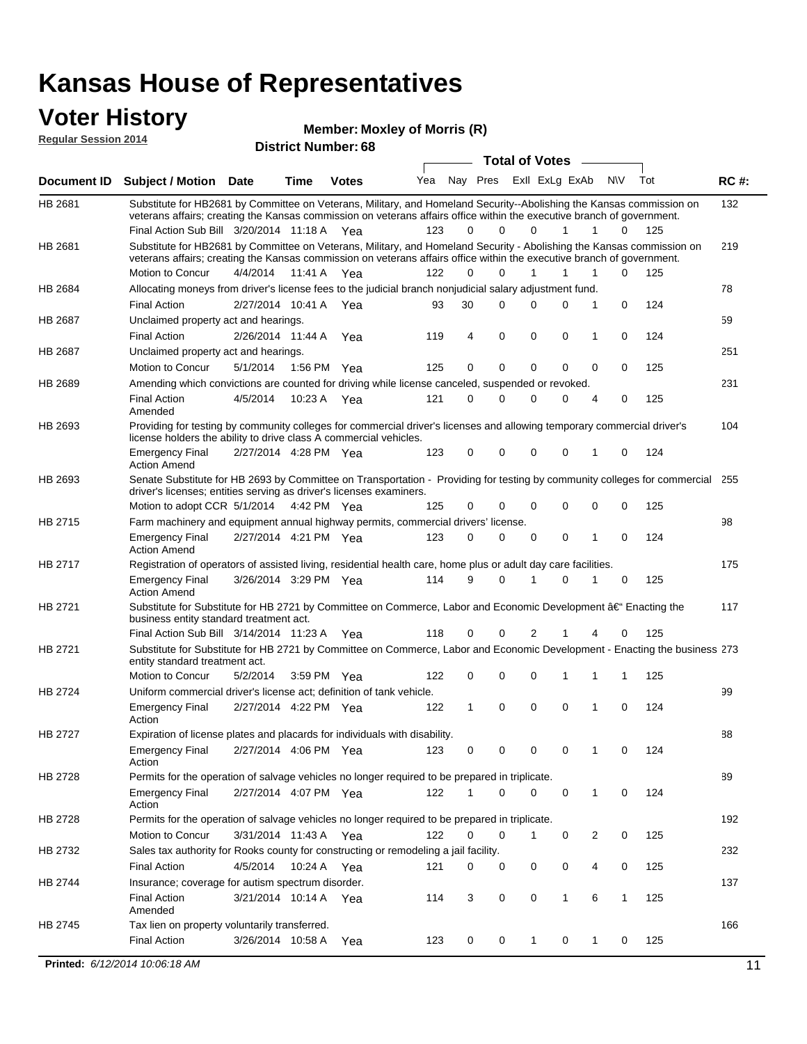### **Voter History**

**Regular Session 2014**

**Member: Moxley of Morris (R)** 

| <b>Total of Votes</b><br>Nay Pres<br>ExII ExLg ExAb<br>N\V<br>Tot<br>Yea<br><b>RC#:</b><br><b>Subject / Motion Date</b><br><b>Votes</b><br>Time<br>132<br>Substitute for HB2681 by Committee on Veterans, Military, and Homeland Security--Abolishing the Kansas commission on<br>veterans affairs; creating the Kansas commission on veterans affairs office within the executive branch of government.<br>Final Action Sub Bill 3/20/2014 11:18 A Yea<br>123<br>$\Omega$<br>0<br>125<br>0<br>1<br>1<br>0<br>Substitute for HB2681 by Committee on Veterans, Military, and Homeland Security - Abolishing the Kansas commission on<br>219<br>veterans affairs; creating the Kansas commission on veterans affairs office within the executive branch of government.<br>Motion to Concur<br>4/4/2014<br>11:41 A<br>122<br>0<br>$\Omega$<br>0<br>125<br>1<br>1<br>1<br>Yea<br>78<br>Allocating moneys from driver's license fees to the judicial branch nonjudicial salary adjustment fund.<br>124<br><b>Final Action</b><br>2/27/2014 10:41 A<br>30<br>$\Omega$<br>0<br>0<br>1<br>0<br>Yea<br>93<br>59<br>Unclaimed property act and hearings.<br><b>Final Action</b><br>2/26/2014 11:44 A<br>4<br>$\mathbf 0$<br>0<br>0<br>0<br>124<br>Yea<br>119<br>1<br>251<br>Unclaimed property act and hearings.<br>0<br>$\mathbf 0$<br><b>Motion to Concur</b><br>5/1/2014<br>1:56 PM<br>125<br>0<br>0<br>0<br>0<br>125<br>Yea<br>Amending which convictions are counted for driving while license canceled, suspended or revoked.<br>231<br>125<br><b>Final Action</b><br>4/5/2014<br>10:23 A<br>121<br>0<br>$\Omega$<br>0<br>0<br>4<br>0<br>Yea<br>Amended<br>Providing for testing by community colleges for commercial driver's licenses and allowing temporary commercial driver's<br>104<br>license holders the ability to drive class A commercial vehicles.<br>2/27/2014 4:28 PM Yea<br>123<br>0<br>0<br>0<br>0<br>124<br><b>Emergency Final</b><br>0<br>1<br><b>Action Amend</b><br>Senate Substitute for HB 2693 by Committee on Transportation - Providing for testing by community colleges for commercial 255<br>HB 2693<br>driver's licenses; entities serving as driver's licenses examiners.<br>Motion to adopt CCR 5/1/2014 4:42 PM Yea<br>0<br>0<br>0<br>125<br>125<br>0<br>$\Omega$<br>0<br>HB 2715<br>98<br>Farm machinery and equipment annual highway permits, commercial drivers' license.<br><b>Emergency Final</b><br>2/27/2014 4:21 PM Yea<br>123<br>0<br>0<br>0<br>0<br>124<br>1<br>0<br><b>Action Amend</b><br>HB 2717<br>Registration of operators of assisted living, residential health care, home plus or adult day care facilities.<br>175<br>3/26/2014 3:29 PM Yea<br>114<br>9<br>$\Omega$<br>0<br>125<br><b>Emergency Final</b><br>1<br>0<br><b>Action Amend</b><br>Substitute for Substitute for HB 2721 by Committee on Commerce, Labor and Economic Development †Enacting the<br>117<br>business entity standard treatment act.<br>118<br>Final Action Sub Bill 3/14/2014 11:23 A Yea<br>0<br>0<br>2<br>0<br>125<br>1<br>4<br>Substitute for Substitute for HB 2721 by Committee on Commerce, Labor and Economic Development - Enacting the business 273<br>entity standard treatment act.<br><b>Motion to Concur</b><br>122<br>0<br>0<br>125<br>5/2/2014<br>3:59 PM<br>0<br>1<br>1<br>1<br>Yea<br>HB 2724<br>99<br>Uniform commercial driver's license act; definition of tank vehicle.<br>2/27/2014 4:22 PM Yea<br>0<br>0<br>0<br>0<br>124<br><b>Emergency Final</b><br>122<br>1<br>1<br>Action<br>HB 2727<br>Expiration of license plates and placards for individuals with disability.<br>88<br><b>Emergency Final</b><br>2/27/2014 4:06 PM Yea<br>123<br>0<br>0<br>124<br>0<br>0<br>1<br>0<br>Action<br>Permits for the operation of salvage vehicles no longer required to be prepared in triplicate.<br>89<br>HB 2728<br>2/27/2014 4:07 PM Yea<br>122<br>0<br>0<br>124<br><b>Emergency Final</b><br>0<br>0<br>1<br>1<br>Action<br>192<br>HB 2728<br>Permits for the operation of salvage vehicles no longer required to be prepared in triplicate.<br>Motion to Concur<br>3/31/2014 11:43 A Yea<br>122<br>0<br>0<br>0<br>2<br>0<br>125<br>1<br>Sales tax authority for Rooks county for constructing or remodeling a jail facility.<br>232<br>HB 2732<br><b>Final Action</b><br>4/5/2014<br>10:24 A Yea<br>0<br>0<br>0<br>121<br>0<br>0<br>4<br>125<br>137<br>HB 2744<br>Insurance; coverage for autism spectrum disorder.<br><b>Final Action</b><br>3/21/2014 10:14 A Yea<br>3<br>0<br>0<br>1<br>6<br>$\mathbf{1}$<br>125<br>114<br>Amended<br>166<br>Tax lien on property voluntarily transferred.<br><b>Final Action</b><br>3/26/2014 10:58 A<br>0<br>125<br>123<br>0<br>$\mathbf{1}$<br>0<br>1<br>0<br>Yea<br>Printed: 6/12/2014 10:06:18 AM<br>11 | דושב ווטופסטט ומוסף וח |  | <b>District Number: 68</b> |  |  |  |  |  |
|--------------------------------------------------------------------------------------------------------------------------------------------------------------------------------------------------------------------------------------------------------------------------------------------------------------------------------------------------------------------------------------------------------------------------------------------------------------------------------------------------------------------------------------------------------------------------------------------------------------------------------------------------------------------------------------------------------------------------------------------------------------------------------------------------------------------------------------------------------------------------------------------------------------------------------------------------------------------------------------------------------------------------------------------------------------------------------------------------------------------------------------------------------------------------------------------------------------------------------------------------------------------------------------------------------------------------------------------------------------------------------------------------------------------------------------------------------------------------------------------------------------------------------------------------------------------------------------------------------------------------------------------------------------------------------------------------------------------------------------------------------------------------------------------------------------------------------------------------------------------------------------------------------------------------------------------------------------------------------------------------------------------------------------------------------------------------------------------------------------------------------------------------------------------------------------------------------------------------------------------------------------------------------------------------------------------------------------------------------------------------------------------------------------------------------------------------------------------------------------------------------------------------------------------------------------------------------------------------------------------------------------------------------------------------------------------------------------------------------------------------------------------------------------------------------------------------------------------------------------------------------------------------------------------------------------------------------------------------------------------------------------------------------------------------------------------------------------------------------------------------------------------------------------------------------------------------------------------------------------------------------------------------------------------------------------------------------------------------------------------------------------------------------------------------------------------------------------------------------------------------------------------------------------------------------------------------------------------------------------------------------------------------------------------------------------------------------------------------------------------------------------------------------------------------------------------------------------------------------------------------------------------------------------------------------------------------------------------------------------------------------------------------------------------------------------------------------------------------------------------------------------------------------------------------------------------------------------------------------------------------------------------------------------------------------------------------------------------------------------------------------------------------------------------------------------------------------------------------------------------------------------------------------------------------------------------------------------------------------------------------------------------------------------------------------------------------------------------------------------------------------------------------------------------|------------------------|--|----------------------------|--|--|--|--|--|
|                                                                                                                                                                                                                                                                                                                                                                                                                                                                                                                                                                                                                                                                                                                                                                                                                                                                                                                                                                                                                                                                                                                                                                                                                                                                                                                                                                                                                                                                                                                                                                                                                                                                                                                                                                                                                                                                                                                                                                                                                                                                                                                                                                                                                                                                                                                                                                                                                                                                                                                                                                                                                                                                                                                                                                                                                                                                                                                                                                                                                                                                                                                                                                                                                                                                                                                                                                                                                                                                                                                                                                                                                                                                                                                                                                                                                                                                                                                                                                                                                                                                                                                                                                                                                                                                                                                                                                                                                                                                                                                                                                                                                                                                                                                                                                                            |                        |  |                            |  |  |  |  |  |
|                                                                                                                                                                                                                                                                                                                                                                                                                                                                                                                                                                                                                                                                                                                                                                                                                                                                                                                                                                                                                                                                                                                                                                                                                                                                                                                                                                                                                                                                                                                                                                                                                                                                                                                                                                                                                                                                                                                                                                                                                                                                                                                                                                                                                                                                                                                                                                                                                                                                                                                                                                                                                                                                                                                                                                                                                                                                                                                                                                                                                                                                                                                                                                                                                                                                                                                                                                                                                                                                                                                                                                                                                                                                                                                                                                                                                                                                                                                                                                                                                                                                                                                                                                                                                                                                                                                                                                                                                                                                                                                                                                                                                                                                                                                                                                                            | Document ID            |  |                            |  |  |  |  |  |
|                                                                                                                                                                                                                                                                                                                                                                                                                                                                                                                                                                                                                                                                                                                                                                                                                                                                                                                                                                                                                                                                                                                                                                                                                                                                                                                                                                                                                                                                                                                                                                                                                                                                                                                                                                                                                                                                                                                                                                                                                                                                                                                                                                                                                                                                                                                                                                                                                                                                                                                                                                                                                                                                                                                                                                                                                                                                                                                                                                                                                                                                                                                                                                                                                                                                                                                                                                                                                                                                                                                                                                                                                                                                                                                                                                                                                                                                                                                                                                                                                                                                                                                                                                                                                                                                                                                                                                                                                                                                                                                                                                                                                                                                                                                                                                                            | HB 2681                |  |                            |  |  |  |  |  |
|                                                                                                                                                                                                                                                                                                                                                                                                                                                                                                                                                                                                                                                                                                                                                                                                                                                                                                                                                                                                                                                                                                                                                                                                                                                                                                                                                                                                                                                                                                                                                                                                                                                                                                                                                                                                                                                                                                                                                                                                                                                                                                                                                                                                                                                                                                                                                                                                                                                                                                                                                                                                                                                                                                                                                                                                                                                                                                                                                                                                                                                                                                                                                                                                                                                                                                                                                                                                                                                                                                                                                                                                                                                                                                                                                                                                                                                                                                                                                                                                                                                                                                                                                                                                                                                                                                                                                                                                                                                                                                                                                                                                                                                                                                                                                                                            | HB 2681                |  |                            |  |  |  |  |  |
|                                                                                                                                                                                                                                                                                                                                                                                                                                                                                                                                                                                                                                                                                                                                                                                                                                                                                                                                                                                                                                                                                                                                                                                                                                                                                                                                                                                                                                                                                                                                                                                                                                                                                                                                                                                                                                                                                                                                                                                                                                                                                                                                                                                                                                                                                                                                                                                                                                                                                                                                                                                                                                                                                                                                                                                                                                                                                                                                                                                                                                                                                                                                                                                                                                                                                                                                                                                                                                                                                                                                                                                                                                                                                                                                                                                                                                                                                                                                                                                                                                                                                                                                                                                                                                                                                                                                                                                                                                                                                                                                                                                                                                                                                                                                                                                            |                        |  |                            |  |  |  |  |  |
|                                                                                                                                                                                                                                                                                                                                                                                                                                                                                                                                                                                                                                                                                                                                                                                                                                                                                                                                                                                                                                                                                                                                                                                                                                                                                                                                                                                                                                                                                                                                                                                                                                                                                                                                                                                                                                                                                                                                                                                                                                                                                                                                                                                                                                                                                                                                                                                                                                                                                                                                                                                                                                                                                                                                                                                                                                                                                                                                                                                                                                                                                                                                                                                                                                                                                                                                                                                                                                                                                                                                                                                                                                                                                                                                                                                                                                                                                                                                                                                                                                                                                                                                                                                                                                                                                                                                                                                                                                                                                                                                                                                                                                                                                                                                                                                            | HB 2684                |  |                            |  |  |  |  |  |
|                                                                                                                                                                                                                                                                                                                                                                                                                                                                                                                                                                                                                                                                                                                                                                                                                                                                                                                                                                                                                                                                                                                                                                                                                                                                                                                                                                                                                                                                                                                                                                                                                                                                                                                                                                                                                                                                                                                                                                                                                                                                                                                                                                                                                                                                                                                                                                                                                                                                                                                                                                                                                                                                                                                                                                                                                                                                                                                                                                                                                                                                                                                                                                                                                                                                                                                                                                                                                                                                                                                                                                                                                                                                                                                                                                                                                                                                                                                                                                                                                                                                                                                                                                                                                                                                                                                                                                                                                                                                                                                                                                                                                                                                                                                                                                                            |                        |  |                            |  |  |  |  |  |
|                                                                                                                                                                                                                                                                                                                                                                                                                                                                                                                                                                                                                                                                                                                                                                                                                                                                                                                                                                                                                                                                                                                                                                                                                                                                                                                                                                                                                                                                                                                                                                                                                                                                                                                                                                                                                                                                                                                                                                                                                                                                                                                                                                                                                                                                                                                                                                                                                                                                                                                                                                                                                                                                                                                                                                                                                                                                                                                                                                                                                                                                                                                                                                                                                                                                                                                                                                                                                                                                                                                                                                                                                                                                                                                                                                                                                                                                                                                                                                                                                                                                                                                                                                                                                                                                                                                                                                                                                                                                                                                                                                                                                                                                                                                                                                                            | <b>HB 2687</b>         |  |                            |  |  |  |  |  |
|                                                                                                                                                                                                                                                                                                                                                                                                                                                                                                                                                                                                                                                                                                                                                                                                                                                                                                                                                                                                                                                                                                                                                                                                                                                                                                                                                                                                                                                                                                                                                                                                                                                                                                                                                                                                                                                                                                                                                                                                                                                                                                                                                                                                                                                                                                                                                                                                                                                                                                                                                                                                                                                                                                                                                                                                                                                                                                                                                                                                                                                                                                                                                                                                                                                                                                                                                                                                                                                                                                                                                                                                                                                                                                                                                                                                                                                                                                                                                                                                                                                                                                                                                                                                                                                                                                                                                                                                                                                                                                                                                                                                                                                                                                                                                                                            |                        |  |                            |  |  |  |  |  |
|                                                                                                                                                                                                                                                                                                                                                                                                                                                                                                                                                                                                                                                                                                                                                                                                                                                                                                                                                                                                                                                                                                                                                                                                                                                                                                                                                                                                                                                                                                                                                                                                                                                                                                                                                                                                                                                                                                                                                                                                                                                                                                                                                                                                                                                                                                                                                                                                                                                                                                                                                                                                                                                                                                                                                                                                                                                                                                                                                                                                                                                                                                                                                                                                                                                                                                                                                                                                                                                                                                                                                                                                                                                                                                                                                                                                                                                                                                                                                                                                                                                                                                                                                                                                                                                                                                                                                                                                                                                                                                                                                                                                                                                                                                                                                                                            | HB 2687                |  |                            |  |  |  |  |  |
|                                                                                                                                                                                                                                                                                                                                                                                                                                                                                                                                                                                                                                                                                                                                                                                                                                                                                                                                                                                                                                                                                                                                                                                                                                                                                                                                                                                                                                                                                                                                                                                                                                                                                                                                                                                                                                                                                                                                                                                                                                                                                                                                                                                                                                                                                                                                                                                                                                                                                                                                                                                                                                                                                                                                                                                                                                                                                                                                                                                                                                                                                                                                                                                                                                                                                                                                                                                                                                                                                                                                                                                                                                                                                                                                                                                                                                                                                                                                                                                                                                                                                                                                                                                                                                                                                                                                                                                                                                                                                                                                                                                                                                                                                                                                                                                            |                        |  |                            |  |  |  |  |  |
|                                                                                                                                                                                                                                                                                                                                                                                                                                                                                                                                                                                                                                                                                                                                                                                                                                                                                                                                                                                                                                                                                                                                                                                                                                                                                                                                                                                                                                                                                                                                                                                                                                                                                                                                                                                                                                                                                                                                                                                                                                                                                                                                                                                                                                                                                                                                                                                                                                                                                                                                                                                                                                                                                                                                                                                                                                                                                                                                                                                                                                                                                                                                                                                                                                                                                                                                                                                                                                                                                                                                                                                                                                                                                                                                                                                                                                                                                                                                                                                                                                                                                                                                                                                                                                                                                                                                                                                                                                                                                                                                                                                                                                                                                                                                                                                            | HB 2689                |  |                            |  |  |  |  |  |
|                                                                                                                                                                                                                                                                                                                                                                                                                                                                                                                                                                                                                                                                                                                                                                                                                                                                                                                                                                                                                                                                                                                                                                                                                                                                                                                                                                                                                                                                                                                                                                                                                                                                                                                                                                                                                                                                                                                                                                                                                                                                                                                                                                                                                                                                                                                                                                                                                                                                                                                                                                                                                                                                                                                                                                                                                                                                                                                                                                                                                                                                                                                                                                                                                                                                                                                                                                                                                                                                                                                                                                                                                                                                                                                                                                                                                                                                                                                                                                                                                                                                                                                                                                                                                                                                                                                                                                                                                                                                                                                                                                                                                                                                                                                                                                                            |                        |  |                            |  |  |  |  |  |
|                                                                                                                                                                                                                                                                                                                                                                                                                                                                                                                                                                                                                                                                                                                                                                                                                                                                                                                                                                                                                                                                                                                                                                                                                                                                                                                                                                                                                                                                                                                                                                                                                                                                                                                                                                                                                                                                                                                                                                                                                                                                                                                                                                                                                                                                                                                                                                                                                                                                                                                                                                                                                                                                                                                                                                                                                                                                                                                                                                                                                                                                                                                                                                                                                                                                                                                                                                                                                                                                                                                                                                                                                                                                                                                                                                                                                                                                                                                                                                                                                                                                                                                                                                                                                                                                                                                                                                                                                                                                                                                                                                                                                                                                                                                                                                                            | HB 2693                |  |                            |  |  |  |  |  |
|                                                                                                                                                                                                                                                                                                                                                                                                                                                                                                                                                                                                                                                                                                                                                                                                                                                                                                                                                                                                                                                                                                                                                                                                                                                                                                                                                                                                                                                                                                                                                                                                                                                                                                                                                                                                                                                                                                                                                                                                                                                                                                                                                                                                                                                                                                                                                                                                                                                                                                                                                                                                                                                                                                                                                                                                                                                                                                                                                                                                                                                                                                                                                                                                                                                                                                                                                                                                                                                                                                                                                                                                                                                                                                                                                                                                                                                                                                                                                                                                                                                                                                                                                                                                                                                                                                                                                                                                                                                                                                                                                                                                                                                                                                                                                                                            |                        |  |                            |  |  |  |  |  |
|                                                                                                                                                                                                                                                                                                                                                                                                                                                                                                                                                                                                                                                                                                                                                                                                                                                                                                                                                                                                                                                                                                                                                                                                                                                                                                                                                                                                                                                                                                                                                                                                                                                                                                                                                                                                                                                                                                                                                                                                                                                                                                                                                                                                                                                                                                                                                                                                                                                                                                                                                                                                                                                                                                                                                                                                                                                                                                                                                                                                                                                                                                                                                                                                                                                                                                                                                                                                                                                                                                                                                                                                                                                                                                                                                                                                                                                                                                                                                                                                                                                                                                                                                                                                                                                                                                                                                                                                                                                                                                                                                                                                                                                                                                                                                                                            |                        |  |                            |  |  |  |  |  |
|                                                                                                                                                                                                                                                                                                                                                                                                                                                                                                                                                                                                                                                                                                                                                                                                                                                                                                                                                                                                                                                                                                                                                                                                                                                                                                                                                                                                                                                                                                                                                                                                                                                                                                                                                                                                                                                                                                                                                                                                                                                                                                                                                                                                                                                                                                                                                                                                                                                                                                                                                                                                                                                                                                                                                                                                                                                                                                                                                                                                                                                                                                                                                                                                                                                                                                                                                                                                                                                                                                                                                                                                                                                                                                                                                                                                                                                                                                                                                                                                                                                                                                                                                                                                                                                                                                                                                                                                                                                                                                                                                                                                                                                                                                                                                                                            |                        |  |                            |  |  |  |  |  |
|                                                                                                                                                                                                                                                                                                                                                                                                                                                                                                                                                                                                                                                                                                                                                                                                                                                                                                                                                                                                                                                                                                                                                                                                                                                                                                                                                                                                                                                                                                                                                                                                                                                                                                                                                                                                                                                                                                                                                                                                                                                                                                                                                                                                                                                                                                                                                                                                                                                                                                                                                                                                                                                                                                                                                                                                                                                                                                                                                                                                                                                                                                                                                                                                                                                                                                                                                                                                                                                                                                                                                                                                                                                                                                                                                                                                                                                                                                                                                                                                                                                                                                                                                                                                                                                                                                                                                                                                                                                                                                                                                                                                                                                                                                                                                                                            |                        |  |                            |  |  |  |  |  |
|                                                                                                                                                                                                                                                                                                                                                                                                                                                                                                                                                                                                                                                                                                                                                                                                                                                                                                                                                                                                                                                                                                                                                                                                                                                                                                                                                                                                                                                                                                                                                                                                                                                                                                                                                                                                                                                                                                                                                                                                                                                                                                                                                                                                                                                                                                                                                                                                                                                                                                                                                                                                                                                                                                                                                                                                                                                                                                                                                                                                                                                                                                                                                                                                                                                                                                                                                                                                                                                                                                                                                                                                                                                                                                                                                                                                                                                                                                                                                                                                                                                                                                                                                                                                                                                                                                                                                                                                                                                                                                                                                                                                                                                                                                                                                                                            |                        |  |                            |  |  |  |  |  |
|                                                                                                                                                                                                                                                                                                                                                                                                                                                                                                                                                                                                                                                                                                                                                                                                                                                                                                                                                                                                                                                                                                                                                                                                                                                                                                                                                                                                                                                                                                                                                                                                                                                                                                                                                                                                                                                                                                                                                                                                                                                                                                                                                                                                                                                                                                                                                                                                                                                                                                                                                                                                                                                                                                                                                                                                                                                                                                                                                                                                                                                                                                                                                                                                                                                                                                                                                                                                                                                                                                                                                                                                                                                                                                                                                                                                                                                                                                                                                                                                                                                                                                                                                                                                                                                                                                                                                                                                                                                                                                                                                                                                                                                                                                                                                                                            |                        |  |                            |  |  |  |  |  |
|                                                                                                                                                                                                                                                                                                                                                                                                                                                                                                                                                                                                                                                                                                                                                                                                                                                                                                                                                                                                                                                                                                                                                                                                                                                                                                                                                                                                                                                                                                                                                                                                                                                                                                                                                                                                                                                                                                                                                                                                                                                                                                                                                                                                                                                                                                                                                                                                                                                                                                                                                                                                                                                                                                                                                                                                                                                                                                                                                                                                                                                                                                                                                                                                                                                                                                                                                                                                                                                                                                                                                                                                                                                                                                                                                                                                                                                                                                                                                                                                                                                                                                                                                                                                                                                                                                                                                                                                                                                                                                                                                                                                                                                                                                                                                                                            | HB 2721                |  |                            |  |  |  |  |  |
|                                                                                                                                                                                                                                                                                                                                                                                                                                                                                                                                                                                                                                                                                                                                                                                                                                                                                                                                                                                                                                                                                                                                                                                                                                                                                                                                                                                                                                                                                                                                                                                                                                                                                                                                                                                                                                                                                                                                                                                                                                                                                                                                                                                                                                                                                                                                                                                                                                                                                                                                                                                                                                                                                                                                                                                                                                                                                                                                                                                                                                                                                                                                                                                                                                                                                                                                                                                                                                                                                                                                                                                                                                                                                                                                                                                                                                                                                                                                                                                                                                                                                                                                                                                                                                                                                                                                                                                                                                                                                                                                                                                                                                                                                                                                                                                            |                        |  |                            |  |  |  |  |  |
|                                                                                                                                                                                                                                                                                                                                                                                                                                                                                                                                                                                                                                                                                                                                                                                                                                                                                                                                                                                                                                                                                                                                                                                                                                                                                                                                                                                                                                                                                                                                                                                                                                                                                                                                                                                                                                                                                                                                                                                                                                                                                                                                                                                                                                                                                                                                                                                                                                                                                                                                                                                                                                                                                                                                                                                                                                                                                                                                                                                                                                                                                                                                                                                                                                                                                                                                                                                                                                                                                                                                                                                                                                                                                                                                                                                                                                                                                                                                                                                                                                                                                                                                                                                                                                                                                                                                                                                                                                                                                                                                                                                                                                                                                                                                                                                            | HB 2721                |  |                            |  |  |  |  |  |
|                                                                                                                                                                                                                                                                                                                                                                                                                                                                                                                                                                                                                                                                                                                                                                                                                                                                                                                                                                                                                                                                                                                                                                                                                                                                                                                                                                                                                                                                                                                                                                                                                                                                                                                                                                                                                                                                                                                                                                                                                                                                                                                                                                                                                                                                                                                                                                                                                                                                                                                                                                                                                                                                                                                                                                                                                                                                                                                                                                                                                                                                                                                                                                                                                                                                                                                                                                                                                                                                                                                                                                                                                                                                                                                                                                                                                                                                                                                                                                                                                                                                                                                                                                                                                                                                                                                                                                                                                                                                                                                                                                                                                                                                                                                                                                                            |                        |  |                            |  |  |  |  |  |
|                                                                                                                                                                                                                                                                                                                                                                                                                                                                                                                                                                                                                                                                                                                                                                                                                                                                                                                                                                                                                                                                                                                                                                                                                                                                                                                                                                                                                                                                                                                                                                                                                                                                                                                                                                                                                                                                                                                                                                                                                                                                                                                                                                                                                                                                                                                                                                                                                                                                                                                                                                                                                                                                                                                                                                                                                                                                                                                                                                                                                                                                                                                                                                                                                                                                                                                                                                                                                                                                                                                                                                                                                                                                                                                                                                                                                                                                                                                                                                                                                                                                                                                                                                                                                                                                                                                                                                                                                                                                                                                                                                                                                                                                                                                                                                                            |                        |  |                            |  |  |  |  |  |
|                                                                                                                                                                                                                                                                                                                                                                                                                                                                                                                                                                                                                                                                                                                                                                                                                                                                                                                                                                                                                                                                                                                                                                                                                                                                                                                                                                                                                                                                                                                                                                                                                                                                                                                                                                                                                                                                                                                                                                                                                                                                                                                                                                                                                                                                                                                                                                                                                                                                                                                                                                                                                                                                                                                                                                                                                                                                                                                                                                                                                                                                                                                                                                                                                                                                                                                                                                                                                                                                                                                                                                                                                                                                                                                                                                                                                                                                                                                                                                                                                                                                                                                                                                                                                                                                                                                                                                                                                                                                                                                                                                                                                                                                                                                                                                                            |                        |  |                            |  |  |  |  |  |
|                                                                                                                                                                                                                                                                                                                                                                                                                                                                                                                                                                                                                                                                                                                                                                                                                                                                                                                                                                                                                                                                                                                                                                                                                                                                                                                                                                                                                                                                                                                                                                                                                                                                                                                                                                                                                                                                                                                                                                                                                                                                                                                                                                                                                                                                                                                                                                                                                                                                                                                                                                                                                                                                                                                                                                                                                                                                                                                                                                                                                                                                                                                                                                                                                                                                                                                                                                                                                                                                                                                                                                                                                                                                                                                                                                                                                                                                                                                                                                                                                                                                                                                                                                                                                                                                                                                                                                                                                                                                                                                                                                                                                                                                                                                                                                                            |                        |  |                            |  |  |  |  |  |
|                                                                                                                                                                                                                                                                                                                                                                                                                                                                                                                                                                                                                                                                                                                                                                                                                                                                                                                                                                                                                                                                                                                                                                                                                                                                                                                                                                                                                                                                                                                                                                                                                                                                                                                                                                                                                                                                                                                                                                                                                                                                                                                                                                                                                                                                                                                                                                                                                                                                                                                                                                                                                                                                                                                                                                                                                                                                                                                                                                                                                                                                                                                                                                                                                                                                                                                                                                                                                                                                                                                                                                                                                                                                                                                                                                                                                                                                                                                                                                                                                                                                                                                                                                                                                                                                                                                                                                                                                                                                                                                                                                                                                                                                                                                                                                                            |                        |  |                            |  |  |  |  |  |
|                                                                                                                                                                                                                                                                                                                                                                                                                                                                                                                                                                                                                                                                                                                                                                                                                                                                                                                                                                                                                                                                                                                                                                                                                                                                                                                                                                                                                                                                                                                                                                                                                                                                                                                                                                                                                                                                                                                                                                                                                                                                                                                                                                                                                                                                                                                                                                                                                                                                                                                                                                                                                                                                                                                                                                                                                                                                                                                                                                                                                                                                                                                                                                                                                                                                                                                                                                                                                                                                                                                                                                                                                                                                                                                                                                                                                                                                                                                                                                                                                                                                                                                                                                                                                                                                                                                                                                                                                                                                                                                                                                                                                                                                                                                                                                                            |                        |  |                            |  |  |  |  |  |
|                                                                                                                                                                                                                                                                                                                                                                                                                                                                                                                                                                                                                                                                                                                                                                                                                                                                                                                                                                                                                                                                                                                                                                                                                                                                                                                                                                                                                                                                                                                                                                                                                                                                                                                                                                                                                                                                                                                                                                                                                                                                                                                                                                                                                                                                                                                                                                                                                                                                                                                                                                                                                                                                                                                                                                                                                                                                                                                                                                                                                                                                                                                                                                                                                                                                                                                                                                                                                                                                                                                                                                                                                                                                                                                                                                                                                                                                                                                                                                                                                                                                                                                                                                                                                                                                                                                                                                                                                                                                                                                                                                                                                                                                                                                                                                                            |                        |  |                            |  |  |  |  |  |
|                                                                                                                                                                                                                                                                                                                                                                                                                                                                                                                                                                                                                                                                                                                                                                                                                                                                                                                                                                                                                                                                                                                                                                                                                                                                                                                                                                                                                                                                                                                                                                                                                                                                                                                                                                                                                                                                                                                                                                                                                                                                                                                                                                                                                                                                                                                                                                                                                                                                                                                                                                                                                                                                                                                                                                                                                                                                                                                                                                                                                                                                                                                                                                                                                                                                                                                                                                                                                                                                                                                                                                                                                                                                                                                                                                                                                                                                                                                                                                                                                                                                                                                                                                                                                                                                                                                                                                                                                                                                                                                                                                                                                                                                                                                                                                                            |                        |  |                            |  |  |  |  |  |
|                                                                                                                                                                                                                                                                                                                                                                                                                                                                                                                                                                                                                                                                                                                                                                                                                                                                                                                                                                                                                                                                                                                                                                                                                                                                                                                                                                                                                                                                                                                                                                                                                                                                                                                                                                                                                                                                                                                                                                                                                                                                                                                                                                                                                                                                                                                                                                                                                                                                                                                                                                                                                                                                                                                                                                                                                                                                                                                                                                                                                                                                                                                                                                                                                                                                                                                                                                                                                                                                                                                                                                                                                                                                                                                                                                                                                                                                                                                                                                                                                                                                                                                                                                                                                                                                                                                                                                                                                                                                                                                                                                                                                                                                                                                                                                                            |                        |  |                            |  |  |  |  |  |
|                                                                                                                                                                                                                                                                                                                                                                                                                                                                                                                                                                                                                                                                                                                                                                                                                                                                                                                                                                                                                                                                                                                                                                                                                                                                                                                                                                                                                                                                                                                                                                                                                                                                                                                                                                                                                                                                                                                                                                                                                                                                                                                                                                                                                                                                                                                                                                                                                                                                                                                                                                                                                                                                                                                                                                                                                                                                                                                                                                                                                                                                                                                                                                                                                                                                                                                                                                                                                                                                                                                                                                                                                                                                                                                                                                                                                                                                                                                                                                                                                                                                                                                                                                                                                                                                                                                                                                                                                                                                                                                                                                                                                                                                                                                                                                                            |                        |  |                            |  |  |  |  |  |
|                                                                                                                                                                                                                                                                                                                                                                                                                                                                                                                                                                                                                                                                                                                                                                                                                                                                                                                                                                                                                                                                                                                                                                                                                                                                                                                                                                                                                                                                                                                                                                                                                                                                                                                                                                                                                                                                                                                                                                                                                                                                                                                                                                                                                                                                                                                                                                                                                                                                                                                                                                                                                                                                                                                                                                                                                                                                                                                                                                                                                                                                                                                                                                                                                                                                                                                                                                                                                                                                                                                                                                                                                                                                                                                                                                                                                                                                                                                                                                                                                                                                                                                                                                                                                                                                                                                                                                                                                                                                                                                                                                                                                                                                                                                                                                                            |                        |  |                            |  |  |  |  |  |
|                                                                                                                                                                                                                                                                                                                                                                                                                                                                                                                                                                                                                                                                                                                                                                                                                                                                                                                                                                                                                                                                                                                                                                                                                                                                                                                                                                                                                                                                                                                                                                                                                                                                                                                                                                                                                                                                                                                                                                                                                                                                                                                                                                                                                                                                                                                                                                                                                                                                                                                                                                                                                                                                                                                                                                                                                                                                                                                                                                                                                                                                                                                                                                                                                                                                                                                                                                                                                                                                                                                                                                                                                                                                                                                                                                                                                                                                                                                                                                                                                                                                                                                                                                                                                                                                                                                                                                                                                                                                                                                                                                                                                                                                                                                                                                                            |                        |  |                            |  |  |  |  |  |
|                                                                                                                                                                                                                                                                                                                                                                                                                                                                                                                                                                                                                                                                                                                                                                                                                                                                                                                                                                                                                                                                                                                                                                                                                                                                                                                                                                                                                                                                                                                                                                                                                                                                                                                                                                                                                                                                                                                                                                                                                                                                                                                                                                                                                                                                                                                                                                                                                                                                                                                                                                                                                                                                                                                                                                                                                                                                                                                                                                                                                                                                                                                                                                                                                                                                                                                                                                                                                                                                                                                                                                                                                                                                                                                                                                                                                                                                                                                                                                                                                                                                                                                                                                                                                                                                                                                                                                                                                                                                                                                                                                                                                                                                                                                                                                                            | HB 2745                |  |                            |  |  |  |  |  |
|                                                                                                                                                                                                                                                                                                                                                                                                                                                                                                                                                                                                                                                                                                                                                                                                                                                                                                                                                                                                                                                                                                                                                                                                                                                                                                                                                                                                                                                                                                                                                                                                                                                                                                                                                                                                                                                                                                                                                                                                                                                                                                                                                                                                                                                                                                                                                                                                                                                                                                                                                                                                                                                                                                                                                                                                                                                                                                                                                                                                                                                                                                                                                                                                                                                                                                                                                                                                                                                                                                                                                                                                                                                                                                                                                                                                                                                                                                                                                                                                                                                                                                                                                                                                                                                                                                                                                                                                                                                                                                                                                                                                                                                                                                                                                                                            |                        |  |                            |  |  |  |  |  |
|                                                                                                                                                                                                                                                                                                                                                                                                                                                                                                                                                                                                                                                                                                                                                                                                                                                                                                                                                                                                                                                                                                                                                                                                                                                                                                                                                                                                                                                                                                                                                                                                                                                                                                                                                                                                                                                                                                                                                                                                                                                                                                                                                                                                                                                                                                                                                                                                                                                                                                                                                                                                                                                                                                                                                                                                                                                                                                                                                                                                                                                                                                                                                                                                                                                                                                                                                                                                                                                                                                                                                                                                                                                                                                                                                                                                                                                                                                                                                                                                                                                                                                                                                                                                                                                                                                                                                                                                                                                                                                                                                                                                                                                                                                                                                                                            |                        |  |                            |  |  |  |  |  |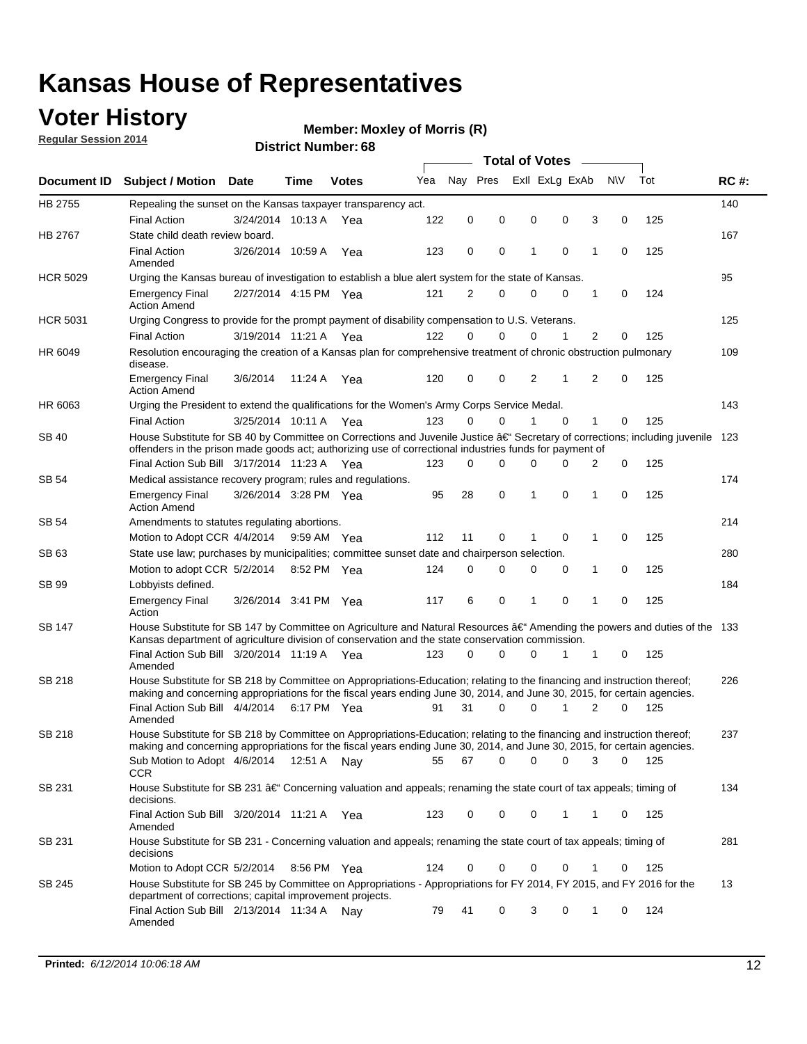### **Voter History**

**Regular Session 2014**

#### **Member: Moxley of Morris (R)**

|                 |                                                                                                                                                                                                                                                      |                       |             |              |     |             |          | <b>Total of Votes</b> |             |                |             |     |             |
|-----------------|------------------------------------------------------------------------------------------------------------------------------------------------------------------------------------------------------------------------------------------------------|-----------------------|-------------|--------------|-----|-------------|----------|-----------------------|-------------|----------------|-------------|-----|-------------|
| Document ID     | <b>Subject / Motion Date</b>                                                                                                                                                                                                                         |                       | Time        | <b>Votes</b> | Yea | Nay Pres    |          | Exll ExLg ExAb        |             |                | <b>NV</b>   | Tot | <b>RC#:</b> |
| HB 2755         | Repealing the sunset on the Kansas taxpayer transparency act.                                                                                                                                                                                        |                       |             |              |     |             |          |                       |             |                |             |     | 140         |
|                 | <b>Final Action</b>                                                                                                                                                                                                                                  | 3/24/2014 10:13 A     |             | Yea          | 122 | 0           | 0        | 0                     | 0           | 3              | $\mathbf 0$ | 125 |             |
| HB 2767         | State child death review board.                                                                                                                                                                                                                      |                       |             |              |     |             |          |                       |             |                |             |     | 167         |
|                 | <b>Final Action</b><br>Amended                                                                                                                                                                                                                       | 3/26/2014 10:59 A     |             | Yea          | 123 | 0           | 0        | 1                     | 0           | 1              | 0           | 125 |             |
| <b>HCR 5029</b> | Urging the Kansas bureau of investigation to establish a blue alert system for the state of Kansas.                                                                                                                                                  |                       |             |              |     |             |          |                       |             |                |             |     | 95          |
|                 | <b>Emergency Final</b><br><b>Action Amend</b>                                                                                                                                                                                                        | 2/27/2014 4:15 PM Yea |             |              | 121 | 2           | 0        | 0                     | 0           | 1              | 0           | 124 |             |
| <b>HCR 5031</b> | Urging Congress to provide for the prompt payment of disability compensation to U.S. Veterans.                                                                                                                                                       |                       |             |              |     |             |          |                       |             |                |             |     | 125         |
|                 | <b>Final Action</b>                                                                                                                                                                                                                                  | 3/19/2014 11:21 A Yea |             |              | 122 | $\Omega$    | $\Omega$ | 0                     | 1           | 2              | 0           | 125 |             |
| HR 6049         | Resolution encouraging the creation of a Kansas plan for comprehensive treatment of chronic obstruction pulmonary<br>disease.                                                                                                                        |                       |             |              |     |             |          |                       |             |                |             |     | 109         |
|                 | <b>Emergency Final</b><br><b>Action Amend</b>                                                                                                                                                                                                        | 3/6/2014              | 11:24 A     | Yea          | 120 | $\mathbf 0$ | 0        | 2                     | 1           | $\overline{2}$ | $\mathbf 0$ | 125 |             |
| HR 6063         | Urging the President to extend the qualifications for the Women's Army Corps Service Medal.                                                                                                                                                          |                       |             |              |     |             |          |                       |             |                |             |     | 143         |
|                 | <b>Final Action</b>                                                                                                                                                                                                                                  | 3/25/2014 10:11 A Yea |             |              | 123 | 0           | $\Omega$ | 1                     | $\Omega$    | 1              | 0           | 125 |             |
| <b>SB 40</b>    | House Substitute for SB 40 by Committee on Corrections and Juvenile Justice $\hat{a}\in$ Secretary of corrections; including juvenile 123<br>offenders in the prison made goods act; authorizing use of correctional industries funds for payment of |                       |             |              |     |             |          |                       |             |                |             |     |             |
|                 | Final Action Sub Bill 3/17/2014 11:23 A Yea                                                                                                                                                                                                          |                       |             |              | 123 | 0           | 0        | 0                     | 0           | 2              | 0           | 125 |             |
| SB 54           | Medical assistance recovery program; rules and regulations.                                                                                                                                                                                          |                       |             |              |     |             |          |                       |             |                |             |     | 174         |
|                 | <b>Emergency Final</b><br><b>Action Amend</b>                                                                                                                                                                                                        | 3/26/2014 3:28 PM Yea |             |              | 95  | 28          | 0        | 1                     | 0           | 1              | $\mathbf 0$ | 125 |             |
| SB 54           | Amendments to statutes regulating abortions.                                                                                                                                                                                                         |                       |             |              |     |             |          |                       |             |                |             |     | 214         |
|                 | Motion to Adopt CCR 4/4/2014                                                                                                                                                                                                                         |                       | 9:59 AM Yea |              | 112 | 11          | 0        |                       | $\mathbf 0$ | 1              | $\mathbf 0$ | 125 |             |
| SB 63           | State use law; purchases by municipalities; committee sunset date and chairperson selection.                                                                                                                                                         |                       |             |              |     |             |          |                       |             |                |             |     | 280         |
|                 | Motion to adopt CCR 5/2/2014                                                                                                                                                                                                                         |                       | 8:52 PM Yea |              | 124 | $\mathbf 0$ | 0        | 0                     | 0           | 1              | $\mathbf 0$ | 125 |             |
| SB 99           | Lobbyists defined.                                                                                                                                                                                                                                   |                       |             |              |     |             |          |                       |             |                |             |     | 184         |
|                 | <b>Emergency Final</b><br>Action                                                                                                                                                                                                                     | 3/26/2014 3:41 PM Yea |             |              | 117 | 6           | 0        | 1                     | 0           | 1              | $\mathbf 0$ | 125 |             |
| SB 147          | House Substitute for SB 147 by Committee on Agriculture and Natural Resources †Amending the powers and duties of the 133<br>Kansas department of agriculture division of conservation and the state conservation commission.                         |                       |             |              |     |             |          |                       |             |                |             |     |             |
|                 | Final Action Sub Bill 3/20/2014 11:19 A Yea<br>Amended                                                                                                                                                                                               |                       |             |              | 123 | $\Omega$    | $\Omega$ | 0                     | 1           | 1              | 0           | 125 |             |
| <b>SB 218</b>   | House Substitute for SB 218 by Committee on Appropriations-Education; relating to the financing and instruction thereof;                                                                                                                             |                       |             |              |     |             |          |                       |             |                |             |     | 226         |
|                 | making and concerning appropriations for the fiscal years ending June 30, 2014, and June 30, 2015, for certain agencies.<br>Final Action Sub Bill 4/4/2014 6:17 PM Yea                                                                               |                       |             |              | 91  | 31          | $\Omega$ | $\Omega$              | 1           | 2              | $\Omega$    | 125 |             |
|                 | Amended                                                                                                                                                                                                                                              |                       |             |              |     |             |          |                       |             |                |             |     |             |
| <b>SB 218</b>   | House Substitute for SB 218 by Committee on Appropriations-Education; relating to the financing and instruction thereof;                                                                                                                             |                       |             |              |     |             |          |                       |             |                |             |     | 237         |
|                 | making and concerning appropriations for the fiscal years ending June 30, 2014, and June 30, 2015, for certain agencies.                                                                                                                             |                       |             |              |     |             |          |                       |             |                |             |     |             |
|                 | Sub Motion to Adopt 4/6/2014 12:51 A Nay<br><b>CCR</b>                                                                                                                                                                                               |                       |             |              | 55  | 67          | 0        | 0                     | 0           | 3              | 0           | 125 |             |
| SB 231          | House Substitute for SB 231 †Concerning valuation and appeals; renaming the state court of tax appeals; timing of<br>decisions.                                                                                                                      |                       |             |              |     |             |          |                       |             |                |             |     | 134         |
|                 | Final Action Sub Bill 3/20/2014 11:21 A Yea                                                                                                                                                                                                          |                       |             |              | 123 | 0           | 0        | 0                     | 1           | 1              | 0           | 125 |             |
|                 | Amended                                                                                                                                                                                                                                              |                       |             |              |     |             |          |                       |             |                |             |     |             |
| SB 231          | House Substitute for SB 231 - Concerning valuation and appeals; renaming the state court of tax appeals; timing of<br>decisions                                                                                                                      |                       |             |              |     |             |          |                       |             |                |             |     | 281         |
|                 | Motion to Adopt CCR 5/2/2014 8:56 PM Yea                                                                                                                                                                                                             |                       |             |              | 124 | 0           | 0        | 0                     | 0           | 1              | 0           | 125 |             |
| SB 245          | House Substitute for SB 245 by Committee on Appropriations - Appropriations for FY 2014, FY 2015, and FY 2016 for the<br>department of corrections; capital improvement projects.                                                                    |                       |             |              |     |             |          |                       |             |                |             |     | 13          |
|                 | Final Action Sub Bill 2/13/2014 11:34 A<br>Amended                                                                                                                                                                                                   |                       |             | Nav          | 79  | 41          | 0        | 3                     | 0           | 1              | 0           | 124 |             |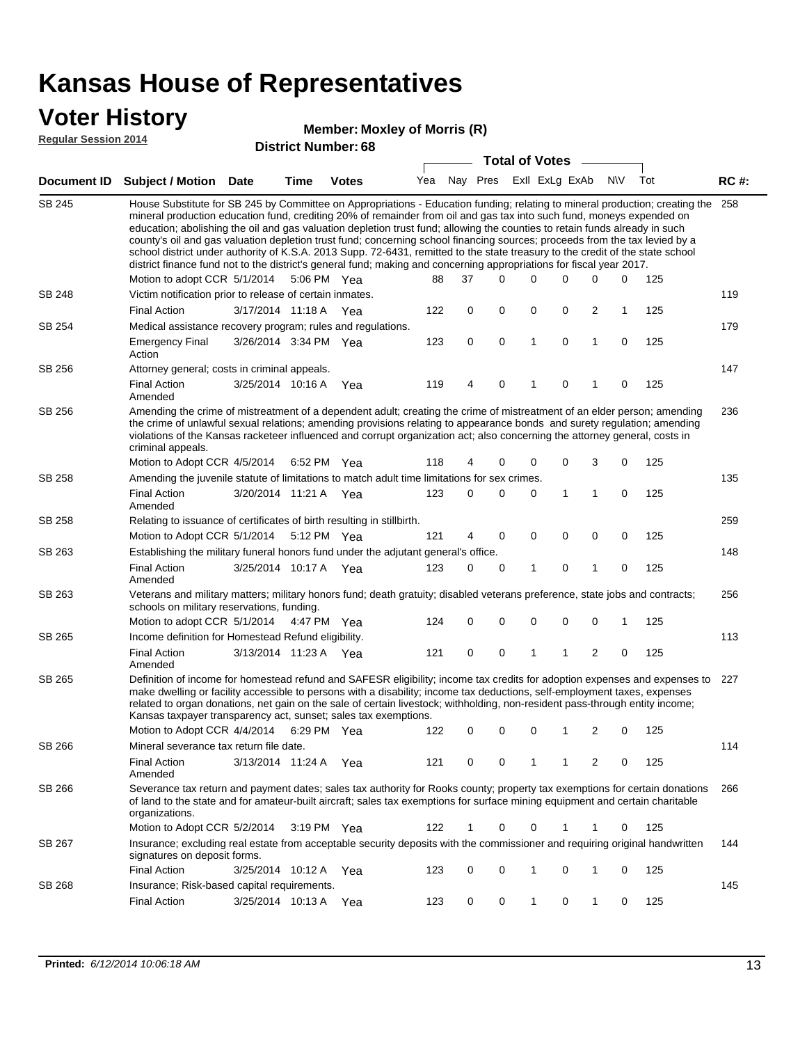### **Voter History**

#### **Member: Moxley of Morris (R)**

**Regular Session 2014**

|               |                                                                                                                                                                                                                                                                                                                                                                                                                                                                                                                                                                                                                                                                                                                                                                                                               |                       |      | DISTRICT MAILINGL 00  |     |             |             | <b>Total of Votes</b> |                |                |             |     |             |
|---------------|---------------------------------------------------------------------------------------------------------------------------------------------------------------------------------------------------------------------------------------------------------------------------------------------------------------------------------------------------------------------------------------------------------------------------------------------------------------------------------------------------------------------------------------------------------------------------------------------------------------------------------------------------------------------------------------------------------------------------------------------------------------------------------------------------------------|-----------------------|------|-----------------------|-----|-------------|-------------|-----------------------|----------------|----------------|-------------|-----|-------------|
|               | Document ID Subject / Motion                                                                                                                                                                                                                                                                                                                                                                                                                                                                                                                                                                                                                                                                                                                                                                                  | <b>Date</b>           | Time | <b>Votes</b>          | Yea | Nay Pres    |             |                       | Exll ExLg ExAb |                | <b>NV</b>   | Tot | <b>RC#:</b> |
| <b>SB 245</b> | House Substitute for SB 245 by Committee on Appropriations - Education funding; relating to mineral production; creating the<br>mineral production education fund, crediting 20% of remainder from oil and gas tax into such fund, moneys expended on<br>education; abolishing the oil and gas valuation depletion trust fund; allowing the counties to retain funds already in such<br>county's oil and gas valuation depletion trust fund; concerning school financing sources; proceeds from the tax levied by a<br>school district under authority of K.S.A. 2013 Supp. 72-6431, remitted to the state treasury to the credit of the state school<br>district finance fund not to the district's general fund; making and concerning appropriations for fiscal year 2017.<br>Motion to adopt CCR 5/1/2014 |                       |      | 5:06 PM Yea           | 88  | 37          | $\Omega$    | 0                     | $\Omega$       | 0              | 0           | 125 | 258         |
| <b>SB 248</b> | Victim notification prior to release of certain inmates.                                                                                                                                                                                                                                                                                                                                                                                                                                                                                                                                                                                                                                                                                                                                                      |                       |      |                       |     |             |             |                       |                |                |             |     | 119         |
|               | <b>Final Action</b>                                                                                                                                                                                                                                                                                                                                                                                                                                                                                                                                                                                                                                                                                                                                                                                           | 3/17/2014 11:18 A Yea |      |                       | 122 | 0           | 0           | 0                     | 0              | 2              | 1           | 125 |             |
| SB 254        | Medical assistance recovery program; rules and regulations.                                                                                                                                                                                                                                                                                                                                                                                                                                                                                                                                                                                                                                                                                                                                                   |                       |      |                       |     |             |             |                       |                |                |             |     | 179         |
|               | <b>Emergency Final</b><br>Action                                                                                                                                                                                                                                                                                                                                                                                                                                                                                                                                                                                                                                                                                                                                                                              | 3/26/2014 3:34 PM Yea |      |                       | 123 | $\mathbf 0$ | 0           | 1                     | $\mathbf 0$    | $\mathbf{1}$   | $\mathbf 0$ | 125 |             |
| SB 256        | Attorney general; costs in criminal appeals.                                                                                                                                                                                                                                                                                                                                                                                                                                                                                                                                                                                                                                                                                                                                                                  |                       |      |                       |     |             |             |                       |                |                |             |     | 147         |
|               | <b>Final Action</b><br>Amended                                                                                                                                                                                                                                                                                                                                                                                                                                                                                                                                                                                                                                                                                                                                                                                | 3/25/2014 10:16 A     |      | Yea                   | 119 | 4           | 0           | 1                     | 0              | 1              | 0           | 125 |             |
| SB 256        | Amending the crime of mistreatment of a dependent adult; creating the crime of mistreatment of an elder person; amending<br>the crime of unlawful sexual relations; amending provisions relating to appearance bonds and surety regulation; amending<br>violations of the Kansas racketeer influenced and corrupt organization act; also concerning the attorney general, costs in<br>criminal appeals.                                                                                                                                                                                                                                                                                                                                                                                                       |                       |      |                       |     |             |             |                       |                |                |             |     | 236         |
|               | Motion to Adopt CCR 4/5/2014 6:52 PM Yea                                                                                                                                                                                                                                                                                                                                                                                                                                                                                                                                                                                                                                                                                                                                                                      |                       |      |                       | 118 | 4           | 0           | 0                     | $\mathbf 0$    | 3              | 0           | 125 |             |
| SB 258        | Amending the juvenile statute of limitations to match adult time limitations for sex crimes.<br><b>Final Action</b><br>Amended                                                                                                                                                                                                                                                                                                                                                                                                                                                                                                                                                                                                                                                                                | 3/20/2014 11:21 A Yea |      |                       | 123 | 0           | 0           | 0                     | 1              | 1              | 0           | 125 | 135         |
| SB 258        | Relating to issuance of certificates of birth resulting in stillbirth.                                                                                                                                                                                                                                                                                                                                                                                                                                                                                                                                                                                                                                                                                                                                        |                       |      |                       |     |             |             |                       |                |                |             |     | 259         |
|               | Motion to Adopt CCR 5/1/2014 5:12 PM Yea                                                                                                                                                                                                                                                                                                                                                                                                                                                                                                                                                                                                                                                                                                                                                                      |                       |      |                       | 121 | 4           | 0           | 0                     | 0              | 0              | 0           | 125 |             |
| SB 263        | Establishing the military funeral honors fund under the adjutant general's office.                                                                                                                                                                                                                                                                                                                                                                                                                                                                                                                                                                                                                                                                                                                            |                       |      |                       |     |             |             |                       |                |                |             |     | 148         |
|               | <b>Final Action</b><br>Amended                                                                                                                                                                                                                                                                                                                                                                                                                                                                                                                                                                                                                                                                                                                                                                                | 3/25/2014 10:17 A Yea |      |                       | 123 | 0           | 0           | 1                     | $\mathbf 0$    | 1              | 0           | 125 |             |
| SB 263        | Veterans and military matters; military honors fund; death gratuity; disabled veterans preference, state jobs and contracts;<br>schools on military reservations, funding.                                                                                                                                                                                                                                                                                                                                                                                                                                                                                                                                                                                                                                    |                       |      |                       |     |             |             |                       |                |                |             |     | 256         |
|               | Motion to adopt CCR 5/1/2014 4:47 PM Yea                                                                                                                                                                                                                                                                                                                                                                                                                                                                                                                                                                                                                                                                                                                                                                      |                       |      |                       | 124 | 0           | 0           | 0                     | 0              | 0              | 1           | 125 |             |
| SB 265        | Income definition for Homestead Refund eligibility.                                                                                                                                                                                                                                                                                                                                                                                                                                                                                                                                                                                                                                                                                                                                                           |                       |      |                       |     |             |             |                       |                |                |             |     | 113         |
|               | <b>Final Action</b><br>Amended                                                                                                                                                                                                                                                                                                                                                                                                                                                                                                                                                                                                                                                                                                                                                                                | 3/13/2014 11:23 A Yea |      |                       | 121 | 0           | 0           | 1                     | 1              | $\overline{2}$ | 0           | 125 |             |
| SB 265        | Definition of income for homestead refund and SAFESR eligibility; income tax credits for adoption expenses and expenses to<br>make dwelling or facility accessible to persons with a disability; income tax deductions, self-employment taxes, expenses<br>related to organ donations, net gain on the sale of certain livestock; withholding, non-resident pass-through entity income;<br>Kansas taxpayer transparency act, sunset; sales tax exemptions.<br>Motion to Adopt CCR 4/4/2014 6:29 PM Yea                                                                                                                                                                                                                                                                                                        |                       |      |                       | 122 | 0           | 0           | 0                     | 1              | 2              | 0           | 125 | 227         |
| SB 266        | Mineral severance tax return file date.                                                                                                                                                                                                                                                                                                                                                                                                                                                                                                                                                                                                                                                                                                                                                                       |                       |      |                       |     |             |             |                       |                |                |             |     | 114         |
|               | <b>Final Action</b><br>Amended                                                                                                                                                                                                                                                                                                                                                                                                                                                                                                                                                                                                                                                                                                                                                                                | 3/13/2014 11:24 A     |      | Yea                   | 121 | 0           | 0           | 1                     | 1              | 2              | 0           | 125 |             |
| SB 266        | Severance tax return and payment dates; sales tax authority for Rooks county; property tax exemptions for certain donations<br>of land to the state and for amateur-built aircraft; sales tax exemptions for surface mining equipment and certain charitable<br>organizations.                                                                                                                                                                                                                                                                                                                                                                                                                                                                                                                                |                       |      |                       |     |             |             |                       |                |                |             |     | 266         |
|               | Motion to Adopt CCR 5/2/2014                                                                                                                                                                                                                                                                                                                                                                                                                                                                                                                                                                                                                                                                                                                                                                                  |                       |      | $3:19 \text{ PM}$ Yea | 122 | 1           | 0           | 0                     | 1              | 1              | 0           | 125 |             |
| SB 267        | Insurance; excluding real estate from acceptable security deposits with the commissioner and requiring original handwritten<br>signatures on deposit forms.                                                                                                                                                                                                                                                                                                                                                                                                                                                                                                                                                                                                                                                   |                       |      |                       |     |             |             |                       |                |                |             |     | 144         |
|               | <b>Final Action</b>                                                                                                                                                                                                                                                                                                                                                                                                                                                                                                                                                                                                                                                                                                                                                                                           | 3/25/2014 10:12 A     |      | Yea                   | 123 | 0           | $\mathbf 0$ | 1                     | 0              | 1              | 0           | 125 |             |
| SB 268        | Insurance; Risk-based capital requirements.                                                                                                                                                                                                                                                                                                                                                                                                                                                                                                                                                                                                                                                                                                                                                                   |                       |      |                       |     |             |             |                       |                |                |             |     | 145         |
|               | <b>Final Action</b>                                                                                                                                                                                                                                                                                                                                                                                                                                                                                                                                                                                                                                                                                                                                                                                           | 3/25/2014 10:13 A     |      | Yea                   | 123 | 0           | 0           | 1                     | 0              | 1              | 0           | 125 |             |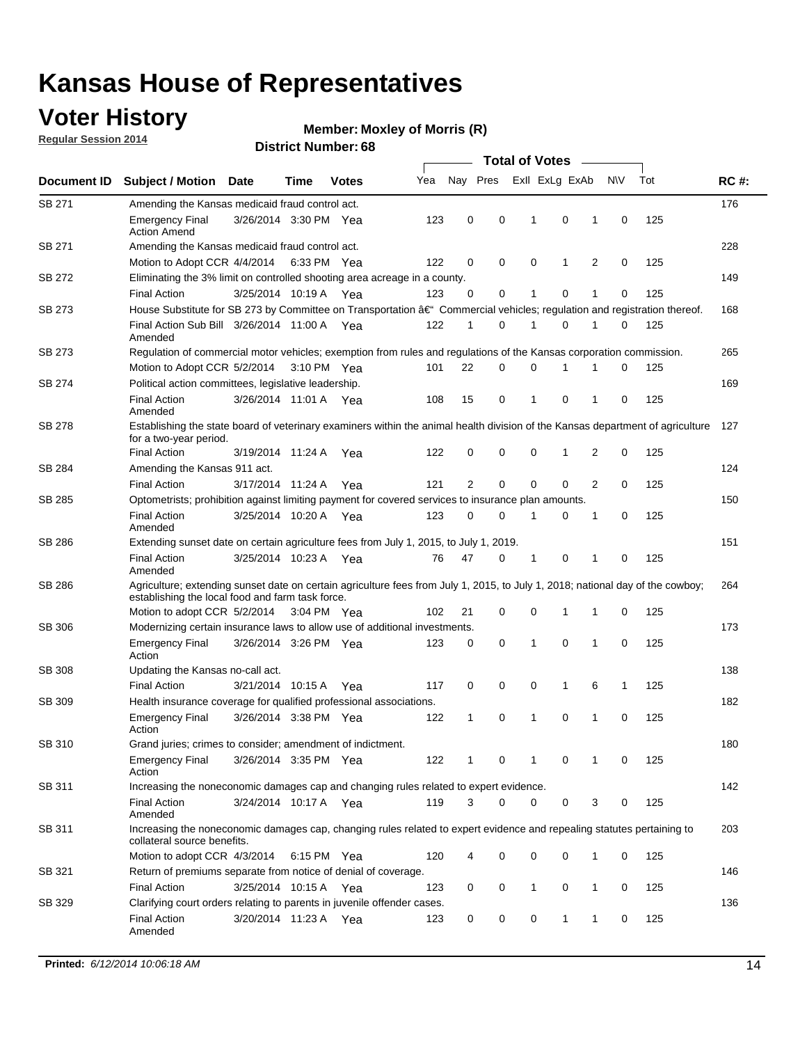### **Voter History**

**Regular Session 2014**

#### **Member: Moxley of Morris (R)**

|               |                                                                                                                                                                                    |                       |             |              | <b>Total of Votes</b> |    |          |   |                |   |   |             |     |             |
|---------------|------------------------------------------------------------------------------------------------------------------------------------------------------------------------------------|-----------------------|-------------|--------------|-----------------------|----|----------|---|----------------|---|---|-------------|-----|-------------|
| Document ID   | <b>Subject / Motion</b>                                                                                                                                                            | <b>Date</b>           | Time        | <b>Votes</b> | Yea                   |    | Nay Pres |   | Exll ExLg ExAb |   |   | <b>NV</b>   | Tot | <b>RC#:</b> |
| SB 271        | Amending the Kansas medicaid fraud control act.                                                                                                                                    |                       |             |              |                       |    |          |   |                |   |   |             |     | 176         |
|               | <b>Emergency Final</b><br><b>Action Amend</b>                                                                                                                                      | 3/26/2014 3:30 PM Yea |             |              | 123                   | 0  | 0        |   | 1              | 0 | 1 | 0           | 125 |             |
| SB 271        | Amending the Kansas medicaid fraud control act.                                                                                                                                    |                       |             |              |                       |    |          |   |                |   |   |             |     | 228         |
|               | Motion to Adopt CCR 4/4/2014 6:33 PM Yea                                                                                                                                           |                       |             |              | 122                   | 0  | 0        |   | 0              | 1 | 2 | 0           | 125 |             |
| SB 272        | Eliminating the 3% limit on controlled shooting area acreage in a county.                                                                                                          |                       |             |              |                       |    |          |   |                |   |   |             |     | 149         |
|               | <b>Final Action</b>                                                                                                                                                                | 3/25/2014 10:19 A Yea |             |              | 123                   | 0  |          | 0 | $\mathbf{1}$   | 0 | 1 | 0           | 125 |             |
| SB 273        | House Substitute for SB 273 by Committee on Transportation â€ <sup>4</sup> Commercial vehicles; regulation and registration thereof.                                               |                       |             |              |                       |    |          |   |                |   |   |             |     | 168         |
|               | Final Action Sub Bill 3/26/2014 11:00 A Yea<br>Amended                                                                                                                             |                       |             |              | 122                   | 1  |          | 0 | 1              | 0 | 1 | 0           | 125 |             |
| SB 273        | Regulation of commercial motor vehicles; exemption from rules and regulations of the Kansas corporation commission.                                                                |                       |             |              |                       |    |          |   |                |   |   |             |     | 265         |
|               | Motion to Adopt CCR 5/2/2014                                                                                                                                                       |                       | 3:10 PM Yea |              | 101                   | 22 |          | 0 | 0              | 1 |   | 0           | 125 |             |
| SB 274        | Political action committees, legislative leadership.                                                                                                                               |                       |             |              |                       |    |          |   |                |   |   |             |     | 169         |
|               | <b>Final Action</b><br>Amended                                                                                                                                                     | 3/26/2014 11:01 A Yea |             |              | 108                   | 15 |          | 0 | 1              | 0 | 1 | 0           | 125 |             |
| SB 278        | Establishing the state board of veterinary examiners within the animal health division of the Kansas department of agriculture<br>for a two-year period.                           |                       |             |              |                       |    |          |   |                |   |   |             |     | 127         |
|               | <b>Final Action</b>                                                                                                                                                                | 3/19/2014 11:24 A     |             | Yea          | 122                   | 0  |          | 0 | 0              | 1 | 2 | 0           | 125 |             |
| SB 284        | Amending the Kansas 911 act.                                                                                                                                                       |                       |             |              |                       |    |          |   |                |   |   |             |     | 124         |
|               | <b>Final Action</b>                                                                                                                                                                | 3/17/2014 11:24 A     |             | Yea          | 121                   | 2  |          | 0 | 0              | 0 | 2 | 0           | 125 |             |
| SB 285        | Optometrists; prohibition against limiting payment for covered services to insurance plan amounts.                                                                                 |                       |             |              |                       |    |          |   |                |   |   |             |     | 150         |
|               | <b>Final Action</b><br>Amended                                                                                                                                                     | 3/25/2014 10:20 A Yea |             |              | 123                   | 0  |          | 0 | 1              | 0 | 1 | 0           | 125 |             |
| SB 286        | Extending sunset date on certain agriculture fees from July 1, 2015, to July 1, 2019.                                                                                              |                       |             |              |                       |    |          |   |                |   |   |             |     | 151         |
|               | <b>Final Action</b><br>Amended                                                                                                                                                     | 3/25/2014 10:23 A Yea |             |              | 76                    | 47 |          | 0 | 1              | 0 | 1 | 0           | 125 |             |
| SB 286        | Agriculture; extending sunset date on certain agriculture fees from July 1, 2015, to July 1, 2018; national day of the cowboy;<br>establishing the local food and farm task force. |                       |             |              |                       |    |          |   |                |   |   |             |     | 264         |
|               | Motion to adopt CCR 5/2/2014 3:04 PM Yea                                                                                                                                           |                       |             |              | 102                   | 21 |          | 0 | 0              | 1 | 1 | 0           | 125 |             |
| SB 306        | Modernizing certain insurance laws to allow use of additional investments.                                                                                                         |                       |             |              |                       |    |          |   |                |   |   |             |     | 173         |
|               | <b>Emergency Final</b><br>Action                                                                                                                                                   | 3/26/2014 3:26 PM Yea |             |              | 123                   | 0  | 0        |   | 1              | 0 | 1 | $\mathbf 0$ | 125 |             |
| <b>SB 308</b> | Updating the Kansas no-call act.                                                                                                                                                   |                       |             |              |                       |    |          |   |                |   |   |             |     | 138         |
|               | <b>Final Action</b>                                                                                                                                                                | 3/21/2014 10:15 A     |             | Yea          | 117                   | 0  | 0        |   | 0              | 1 | 6 | 1           | 125 |             |
| SB 309        | Health insurance coverage for qualified professional associations.                                                                                                                 |                       |             |              |                       |    |          |   |                |   |   |             |     | 182         |
|               | <b>Emergency Final</b><br>Action                                                                                                                                                   | 3/26/2014 3:38 PM Yea |             |              | 122                   | 1  |          | 0 | 1              | 0 | 1 | 0           | 125 |             |
| SB 310        | Grand juries; crimes to consider; amendment of indictment.                                                                                                                         |                       |             |              |                       |    |          |   |                |   |   |             |     | 180         |
|               | <b>Emergency Final</b><br>Action                                                                                                                                                   | 3/26/2014 3:35 PM Yea |             |              | 122                   | 1  |          | 0 | 1              | 0 | 1 | 0           | 125 |             |
| SB 311        | Increasing the noneconomic damages cap and changing rules related to expert evidence.                                                                                              |                       |             |              |                       |    |          |   |                |   |   |             |     | 142         |
|               | <b>Final Action</b><br>Amended                                                                                                                                                     | 3/24/2014 10:17 A Yea |             |              | 119                   | 3  |          | 0 | 0              | 0 | 3 | 0           | 125 |             |
| SB 311        | Increasing the noneconomic damages cap, changing rules related to expert evidence and repealing statutes pertaining to<br>collateral source benefits.                              |                       |             |              |                       |    |          |   |                |   |   |             |     | 203         |
|               | Motion to adopt CCR 4/3/2014 6:15 PM Yea                                                                                                                                           |                       |             |              | 120                   | 4  |          | 0 | 0              | 0 | 1 | 0           | 125 |             |
| SB 321        | Return of premiums separate from notice of denial of coverage.                                                                                                                     |                       |             |              |                       |    |          |   |                |   |   |             |     | 146         |
|               | <b>Final Action</b>                                                                                                                                                                | 3/25/2014 10:15 A Yea |             |              | 123                   | 0  |          | 0 | 1              | 0 | 1 | 0           | 125 |             |
| SB 329        | Clarifying court orders relating to parents in juvenile offender cases.                                                                                                            |                       |             |              |                       |    |          |   |                |   |   |             |     | 136         |
|               | <b>Final Action</b><br>Amended                                                                                                                                                     | 3/20/2014 11:23 A Yea |             |              | 123                   | 0  |          | 0 | 0              | 1 | 1 | 0           | 125 |             |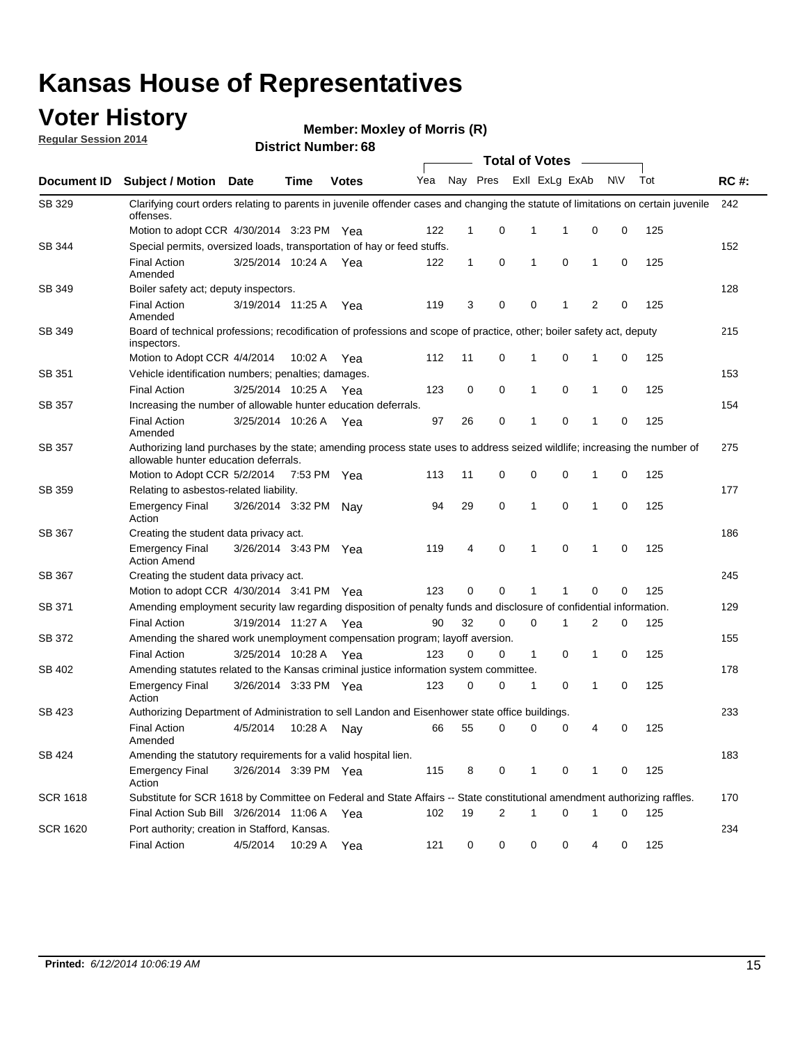### **Voter History**

**Regular Session 2014**

**Member: Moxley of Morris (R)** 

|                    |                                                                                                                                                                    |                       |             |              |     |              |                         |              | <b>Total of Votes</b> |              |           |     |             |
|--------------------|--------------------------------------------------------------------------------------------------------------------------------------------------------------------|-----------------------|-------------|--------------|-----|--------------|-------------------------|--------------|-----------------------|--------------|-----------|-----|-------------|
| <b>Document ID</b> | <b>Subject / Motion Date</b>                                                                                                                                       |                       | Time        | <b>Votes</b> | Yea |              | Nay Pres                |              | Exll ExLg ExAb        |              | <b>NV</b> | Tot | <b>RC#:</b> |
| SB 329             | Clarifying court orders relating to parents in juvenile offender cases and changing the statute of limitations on certain juvenile<br>offenses.                    |                       |             |              |     |              |                         |              |                       |              |           |     | 242         |
|                    | Motion to adopt CCR 4/30/2014 3:23 PM Yea                                                                                                                          |                       |             |              | 122 | $\mathbf 1$  | 0                       | 1            | -1                    | 0            | 0         | 125 |             |
| SB 344             | Special permits, oversized loads, transportation of hay or feed stuffs.                                                                                            |                       |             |              |     |              |                         |              |                       |              |           |     | 152         |
|                    | <b>Final Action</b><br>Amended                                                                                                                                     | 3/25/2014 10:24 A     |             | Yea          | 122 | $\mathbf{1}$ | 0                       | $\mathbf{1}$ | 0                     | $\mathbf{1}$ | 0         | 125 |             |
| <b>SB 349</b>      | Boiler safety act; deputy inspectors.                                                                                                                              |                       |             |              |     |              |                         |              |                       |              |           |     | 128         |
|                    | <b>Final Action</b><br>Amended                                                                                                                                     | 3/19/2014 11:25 A     |             | Yea          | 119 | 3            | 0                       | 0            | 1                     | 2            | 0         | 125 |             |
| SB 349             | Board of technical professions; recodification of professions and scope of practice, other; boiler safety act, deputy<br>inspectors.                               |                       |             |              |     |              |                         |              |                       |              |           |     | 215         |
|                    | Motion to Adopt CCR 4/4/2014                                                                                                                                       |                       | 10:02 A     | Yea          | 112 | 11           | 0                       | 1            | 0                     | 1            | 0         | 125 |             |
| SB 351             | Vehicle identification numbers; penalties; damages.                                                                                                                |                       |             |              |     |              |                         |              |                       |              |           |     | 153         |
|                    | <b>Final Action</b>                                                                                                                                                | 3/25/2014 10:25 A     |             | Yea          | 123 | 0            | 0                       | 1            | 0                     | 1            | 0         | 125 |             |
| SB 357             | Increasing the number of allowable hunter education deferrals.                                                                                                     |                       |             |              |     |              |                         |              |                       |              |           |     | 154         |
|                    | <b>Final Action</b><br>Amended                                                                                                                                     | 3/25/2014 10:26 A     |             | Yea          | 97  | 26           | 0                       | $\mathbf{1}$ | 0                     | 1            | 0         | 125 |             |
| SB 357             | Authorizing land purchases by the state; amending process state uses to address seized wildlife; increasing the number of<br>allowable hunter education deferrals. |                       |             |              |     |              |                         |              |                       |              |           |     | 275         |
|                    | Motion to Adopt CCR 5/2/2014                                                                                                                                       |                       | 7:53 PM Yea |              | 113 | 11           | 0                       | 0            | $\mathbf 0$           | 1            | 0         | 125 |             |
| SB 359             | Relating to asbestos-related liability.                                                                                                                            |                       |             |              |     |              |                         |              |                       |              |           |     | 177         |
|                    | <b>Emergency Final</b><br>Action                                                                                                                                   | 3/26/2014 3:32 PM Nay |             |              | 94  | 29           | 0                       | 1            | $\mathbf 0$           | 1            | 0         | 125 |             |
| <b>SB 367</b>      | Creating the student data privacy act.                                                                                                                             |                       |             |              |     |              |                         |              |                       |              |           |     | 186         |
|                    | <b>Emergency Final</b><br><b>Action Amend</b>                                                                                                                      | 3/26/2014 3:43 PM Yea |             |              | 119 | 4            | 0                       | $\mathbf{1}$ | 0                     | 1            | 0         | 125 |             |
| SB 367             | Creating the student data privacy act.                                                                                                                             |                       |             |              |     |              |                         |              |                       |              |           |     | 245         |
|                    | Motion to adopt CCR 4/30/2014 3:41 PM Yea                                                                                                                          |                       |             |              | 123 | 0            | 0                       | 1            | 1                     | 0            | 0         | 125 |             |
| SB 371             | Amending employment security law regarding disposition of penalty funds and disclosure of confidential information.                                                |                       |             |              |     |              |                         |              |                       |              |           |     | 129         |
|                    | <b>Final Action</b>                                                                                                                                                | 3/19/2014 11:27 A     |             | Yea          | 90  | 32           | 0                       | $\mathbf 0$  | 1                     | 2            | 0         | 125 |             |
| SB 372             | Amending the shared work unemployment compensation program; layoff aversion.                                                                                       |                       |             |              |     |              |                         |              |                       |              |           |     | 155         |
|                    | <b>Final Action</b>                                                                                                                                                | 3/25/2014 10:28 A     |             | Yea          | 123 | 0            | 0                       | 1            | 0                     | 1            | 0         | 125 |             |
| SB 402             | Amending statutes related to the Kansas criminal justice information system committee.                                                                             |                       |             |              |     |              |                         |              |                       |              |           |     | 178         |
|                    | <b>Emergency Final</b><br>Action                                                                                                                                   | 3/26/2014 3:33 PM Yea |             |              | 123 | 0            | 0                       | $\mathbf{1}$ | 0                     | $\mathbf{1}$ | 0         | 125 |             |
| SB 423             | Authorizing Department of Administration to sell Landon and Eisenhower state office buildings.                                                                     |                       |             |              |     |              |                         |              |                       |              |           |     | 233         |
|                    | <b>Final Action</b><br>Amended                                                                                                                                     | 4/5/2014              | 10:28 A     | Nay          | 66  | 55           | 0                       | 0            | 0                     | 4            | 0         | 125 |             |
| SB 424             | Amending the statutory requirements for a valid hospital lien.                                                                                                     |                       |             |              |     |              |                         |              |                       |              |           |     | 183         |
|                    | <b>Emergency Final</b><br>Action                                                                                                                                   | 3/26/2014 3:39 PM Yea |             |              | 115 | 8            | 0                       | 1            | 0                     | 1            | 0         | 125 |             |
| <b>SCR 1618</b>    | Substitute for SCR 1618 by Committee on Federal and State Affairs -- State constitutional amendment authorizing raffles.                                           |                       |             |              |     |              |                         |              |                       |              |           |     | 170         |
|                    | Final Action Sub Bill 3/26/2014 11:06 A Yea                                                                                                                        |                       |             |              | 102 | 19           | $\overline{\mathbf{c}}$ | 1            | 0                     | 1            | 0         | 125 |             |
| <b>SCR 1620</b>    | Port authority; creation in Stafford, Kansas.                                                                                                                      |                       |             |              |     |              |                         |              |                       |              |           |     | 234         |
|                    | <b>Final Action</b>                                                                                                                                                | 4/5/2014              | 10:29 A     | Yea          | 121 | 0            | 0                       | 0            | 0                     | 4            | 0         | 125 |             |